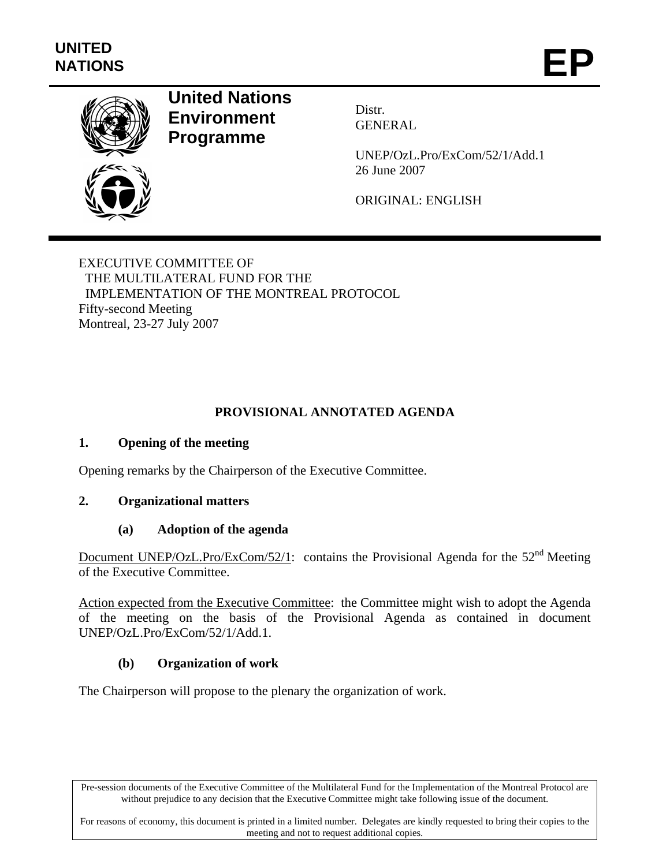

# **United Nations Environment Programme**

Distr. GENERAL

UNEP/OzL.Pro/ExCom/52/1/Add.1 26 June 2007

ORIGINAL: ENGLISH

EXECUTIVE COMMITTEE OF THE MULTILATERAL FUND FOR THE IMPLEMENTATION OF THE MONTREAL PROTOCOL Fifty-second Meeting Montreal, 23-27 July 2007

## **PROVISIONAL ANNOTATED AGENDA**

#### **1. Opening of the meeting**

Opening remarks by the Chairperson of the Executive Committee.

#### **2. Organizational matters**

#### **(a) Adoption of the agenda**

Document UNEP/OzL.Pro/ExCom/52/1: contains the Provisional Agenda for the  $52<sup>nd</sup>$  Meeting of the Executive Committee.

Action expected from the Executive Committee: the Committee might wish to adopt the Agenda of the meeting on the basis of the Provisional Agenda as contained in document UNEP/OzL.Pro/ExCom/52/1/Add.1.

#### **(b) Organization of work**

The Chairperson will propose to the plenary the organization of work.

Pre-session documents of the Executive Committee of the Multilateral Fund for the Implementation of the Montreal Protocol are without prejudice to any decision that the Executive Committee might take following issue of the document.

For reasons of economy, this document is printed in a limited number. Delegates are kindly requested to bring their copies to the meeting and not to request additional copies.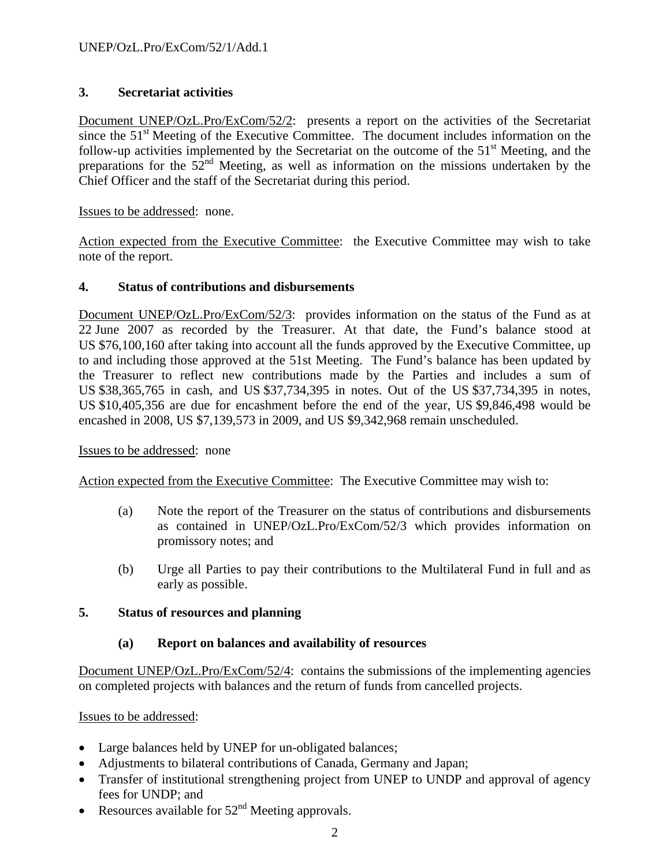### **3. Secretariat activities**

Document UNEP/OzL.Pro/ExCom/52/2: presents a report on the activities of the Secretariat since the  $51<sup>st</sup>$  Meeting of the Executive Committee. The document includes information on the follow-up activities implemented by the Secretariat on the outcome of the 51<sup>st</sup> Meeting, and the preparations for the  $52<sup>nd</sup>$  Meeting, as well as information on the missions undertaken by the Chief Officer and the staff of the Secretariat during this period.

Issues to be addressed: none.

Action expected from the Executive Committee: the Executive Committee may wish to take note of the report.

#### **4. Status of contributions and disbursements**

Document UNEP/OzL.Pro/ExCom/52/3: provides information on the status of the Fund as at 22 June 2007 as recorded by the Treasurer. At that date, the Fund's balance stood at US \$76,100,160 after taking into account all the funds approved by the Executive Committee, up to and including those approved at the 51st Meeting. The Fund's balance has been updated by the Treasurer to reflect new contributions made by the Parties and includes a sum of US \$38,365,765 in cash, and US \$37,734,395 in notes. Out of the US \$37,734,395 in notes, US \$10,405,356 are due for encashment before the end of the year, US \$9,846,498 would be encashed in 2008, US \$7,139,573 in 2009, and US \$9,342,968 remain unscheduled.

Issues to be addressed: none

Action expected from the Executive Committee: The Executive Committee may wish to:

- (a) Note the report of the Treasurer on the status of contributions and disbursements as contained in UNEP/OzL.Pro/ExCom/52/3 which provides information on promissory notes; and
- (b) Urge all Parties to pay their contributions to the Multilateral Fund in full and as early as possible.

#### **5. Status of resources and planning**

#### **(a) Report on balances and availability of resources**

Document UNEP/OzL.Pro/ExCom/52/4: contains the submissions of the implementing agencies on completed projects with balances and the return of funds from cancelled projects.

Issues to be addressed:

- Large balances held by UNEP for un-obligated balances;
- Adjustments to bilateral contributions of Canada, Germany and Japan;
- Transfer of institutional strengthening project from UNEP to UNDP and approval of agency fees for UNDP; and
- Resources available for  $52<sup>nd</sup>$  Meeting approvals.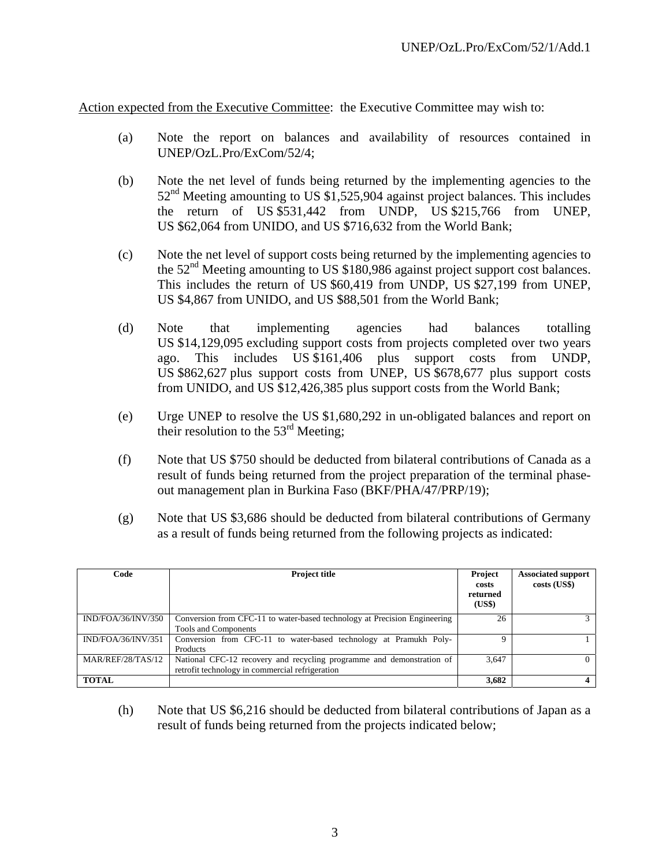Action expected from the Executive Committee: the Executive Committee may wish to:

- (a) Note the report on balances and availability of resources contained in UNEP/OzL.Pro/ExCom/52/4;
- (b) Note the net level of funds being returned by the implementing agencies to the  $52<sup>nd</sup>$  Meeting amounting to US \$1,525,904 against project balances. This includes the return of US \$531,442 from UNDP, US \$215,766 from UNEP, US \$62,064 from UNIDO, and US \$716,632 from the World Bank;
- (c) Note the net level of support costs being returned by the implementing agencies to the 52<sup>nd</sup> Meeting amounting to US \$180,986 against project support cost balances. This includes the return of US \$60,419 from UNDP, US \$27,199 from UNEP, US \$4,867 from UNIDO, and US \$88,501 from the World Bank;
- (d) Note that implementing agencies had balances totalling US \$14,129,095 excluding support costs from projects completed over two years ago. This includes US \$161,406 plus support costs from UNDP, US \$862,627 plus support costs from UNEP, US \$678,677 plus support costs from UNIDO, and US \$12,426,385 plus support costs from the World Bank;
- (e) Urge UNEP to resolve the US \$1,680,292 in un-obligated balances and report on their resolution to the 53<sup>rd</sup> Meeting;
- (f) Note that US \$750 should be deducted from bilateral contributions of Canada as a result of funds being returned from the project preparation of the terminal phaseout management plan in Burkina Faso (BKF/PHA/47/PRP/19);
- (g) Note that US \$3,686 should be deducted from bilateral contributions of Germany as a result of funds being returned from the following projects as indicated:

| Code               | <b>Project title</b>                                                      | Project<br>costs<br>returned<br>(US\$) | <b>Associated support</b><br>costs (US\$) |
|--------------------|---------------------------------------------------------------------------|----------------------------------------|-------------------------------------------|
| IND/FOA/36/INV/350 | Conversion from CFC-11 to water-based technology at Precision Engineering | 26                                     |                                           |
|                    | Tools and Components                                                      |                                        |                                           |
| IND/FOA/36/INV/351 | Conversion from CFC-11 to water-based technology at Pramukh Poly-         | Ω                                      |                                           |
|                    | Products                                                                  |                                        |                                           |
| MAR/REF/28/TAS/12  | National CFC-12 recovery and recycling programme and demonstration of     | 3,647                                  | 0                                         |
|                    | retrofit technology in commercial refrigeration                           |                                        |                                           |
| <b>TOTAL</b>       |                                                                           | 3,682                                  | 4                                         |

(h) Note that US \$6,216 should be deducted from bilateral contributions of Japan as a result of funds being returned from the projects indicated below;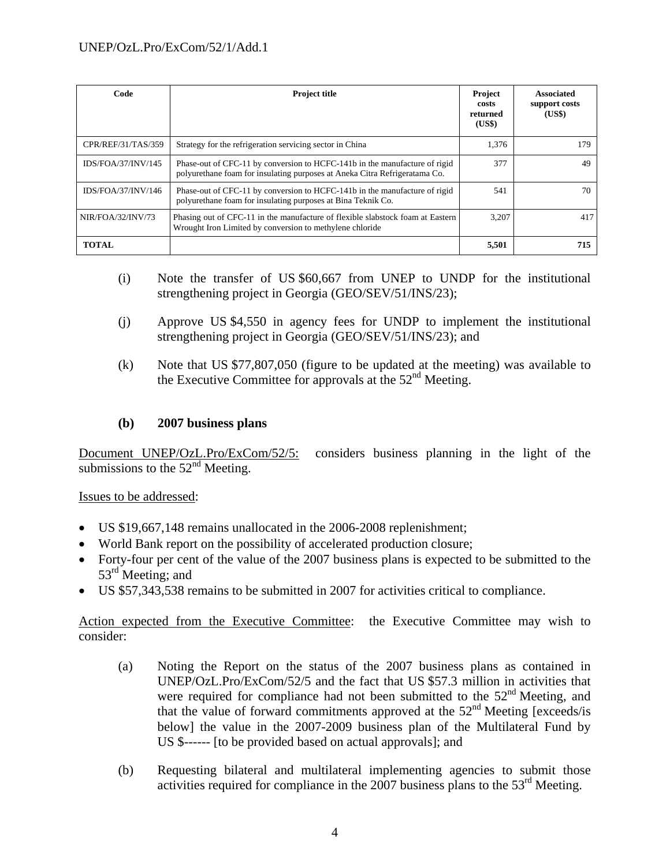| Code               | <b>Project title</b>                                                                                                                                     | Project<br>costs<br>returned<br>(US\$) | <b>Associated</b><br>support costs<br>(US\$) |
|--------------------|----------------------------------------------------------------------------------------------------------------------------------------------------------|----------------------------------------|----------------------------------------------|
| CPR/REF/31/TAS/359 | Strategy for the refrigeration servicing sector in China                                                                                                 | 1,376                                  | 179                                          |
| IDS/FOA/37/INV/145 | Phase-out of CFC-11 by conversion to HCFC-141b in the manufacture of rigid<br>polyurethane foam for insulating purposes at Aneka Citra Refrigeratama Co. | 377                                    | 49                                           |
| IDS/FOA/37/INV/146 | Phase-out of CFC-11 by conversion to HCFC-141b in the manufacture of rigid<br>polyurethane foam for insulating purposes at Bina Teknik Co.               | 541                                    | 70                                           |
| NIR/FOA/32/INV/73  | Phasing out of CFC-11 in the manufacture of flexible slabstock foam at Eastern<br>Wrought Iron Limited by conversion to methylene chloride               | 3,207                                  | 417                                          |
| <b>TOTAL</b>       |                                                                                                                                                          | 5,501                                  | 715                                          |

- (i) Note the transfer of US \$60,667 from UNEP to UNDP for the institutional strengthening project in Georgia (GEO/SEV/51/INS/23);
- (j) Approve US \$4,550 in agency fees for UNDP to implement the institutional strengthening project in Georgia (GEO/SEV/51/INS/23); and
- (k) Note that US \$77,807,050 (figure to be updated at the meeting) was available to the Executive Committee for approvals at the  $52<sup>nd</sup>$  Meeting.

### **(b) 2007 business plans**

Document UNEP/OzL.Pro/ExCom/52/5: considers business planning in the light of the submissions to the  $52<sup>nd</sup>$  Meeting.

Issues to be addressed:

- US \$19,667,148 remains unallocated in the 2006-2008 replenishment;
- World Bank report on the possibility of accelerated production closure;
- Forty-four per cent of the value of the 2007 business plans is expected to be submitted to the 53<sup>rd</sup> Meeting; and
- US \$57,343,538 remains to be submitted in 2007 for activities critical to compliance.

Action expected from the Executive Committee: the Executive Committee may wish to consider:

- (a) Noting the Report on the status of the 2007 business plans as contained in UNEP/OzL.Pro/ExCom/52/5 and the fact that US \$57.3 million in activities that were required for compliance had not been submitted to the  $52<sup>nd</sup>$  Meeting, and that the value of forward commitments approved at the  $52<sup>nd</sup>$  Meeting [exceeds/is below] the value in the 2007-2009 business plan of the Multilateral Fund by US \$------ [to be provided based on actual approvals]; and
- (b) Requesting bilateral and multilateral implementing agencies to submit those activities required for compliance in the 2007 business plans to the  $53<sup>rd</sup>$  Meeting.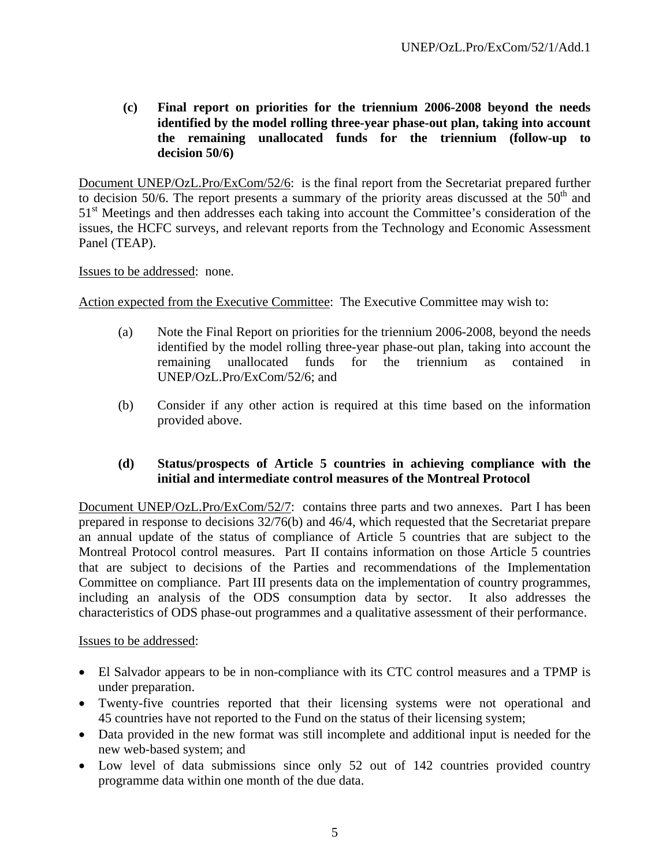**(c) Final report on priorities for the triennium 2006-2008 beyond the needs identified by the model rolling three-year phase-out plan, taking into account the remaining unallocated funds for the triennium (follow-up to decision 50/6)** 

Document UNEP/OzL.Pro/ExCom/52/6: is the final report from the Secretariat prepared further to decision  $\overline{50/6}$ . The report presents a summary of the priority areas discussed at the  $50<sup>th</sup>$  and 51<sup>st</sup> Meetings and then addresses each taking into account the Committee's consideration of the issues, the HCFC surveys, and relevant reports from the Technology and Economic Assessment Panel (TEAP).

Issues to be addressed: none.

Action expected from the Executive Committee: The Executive Committee may wish to:

- (a) Note the Final Report on priorities for the triennium 2006-2008, beyond the needs identified by the model rolling three-year phase-out plan, taking into account the remaining unallocated funds for the triennium as contained in UNEP/OzL.Pro/ExCom/52/6; and
- (b) Consider if any other action is required at this time based on the information provided above.

### **(d) Status/prospects of Article 5 countries in achieving compliance with the initial and intermediate control measures of the Montreal Protocol**

Document UNEP/OzL.Pro/ExCom/52/7: contains three parts and two annexes. Part I has been prepared in response to decisions 32/76(b) and 46/4, which requested that the Secretariat prepare an annual update of the status of compliance of Article 5 countries that are subject to the Montreal Protocol control measures. Part II contains information on those Article 5 countries that are subject to decisions of the Parties and recommendations of the Implementation Committee on compliance. Part III presents data on the implementation of country programmes, including an analysis of the ODS consumption data by sector. It also addresses the characteristics of ODS phase-out programmes and a qualitative assessment of their performance.

#### Issues to be addressed:

- El Salvador appears to be in non-compliance with its CTC control measures and a TPMP is under preparation.
- Twenty-five countries reported that their licensing systems were not operational and 45 countries have not reported to the Fund on the status of their licensing system;
- Data provided in the new format was still incomplete and additional input is needed for the new web-based system; and
- Low level of data submissions since only 52 out of 142 countries provided country programme data within one month of the due data.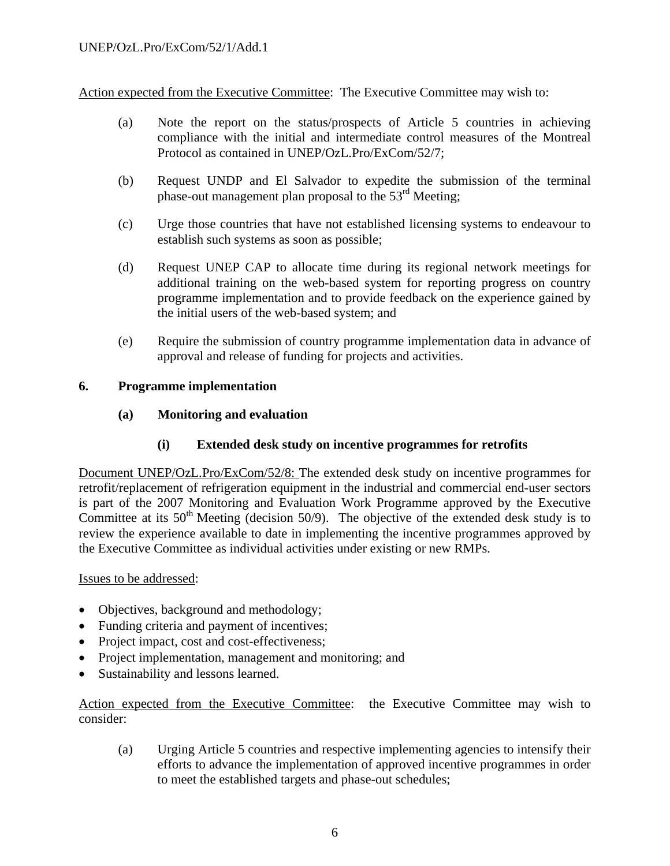Action expected from the Executive Committee: The Executive Committee may wish to:

- (a) Note the report on the status/prospects of Article 5 countries in achieving compliance with the initial and intermediate control measures of the Montreal Protocol as contained in UNEP/OzL.Pro/ExCom/52/7;
- (b) Request UNDP and El Salvador to expedite the submission of the terminal phase-out management plan proposal to the 53rd Meeting;
- (c) Urge those countries that have not established licensing systems to endeavour to establish such systems as soon as possible;
- (d) Request UNEP CAP to allocate time during its regional network meetings for additional training on the web-based system for reporting progress on country programme implementation and to provide feedback on the experience gained by the initial users of the web-based system; and
- (e) Require the submission of country programme implementation data in advance of approval and release of funding for projects and activities.

### **6. Programme implementation**

### **(a) Monitoring and evaluation**

### **(i) Extended desk study on incentive programmes for retrofits**

Document UNEP/OzL.Pro/ExCom/52/8: The extended desk study on incentive programmes for retrofit/replacement of refrigeration equipment in the industrial and commercial end-user sectors is part of the 2007 Monitoring and Evaluation Work Programme approved by the Executive Committee at its  $50<sup>th</sup>$  Meeting (decision 50/9). The objective of the extended desk study is to review the experience available to date in implementing the incentive programmes approved by the Executive Committee as individual activities under existing or new RMPs.

#### Issues to be addressed:

- Objectives, background and methodology;
- Funding criteria and payment of incentives;
- Project impact, cost and cost-effectiveness;
- Project implementation, management and monitoring; and
- Sustainability and lessons learned.

Action expected from the Executive Committee: the Executive Committee may wish to consider:

(a) Urging Article 5 countries and respective implementing agencies to intensify their efforts to advance the implementation of approved incentive programmes in order to meet the established targets and phase-out schedules;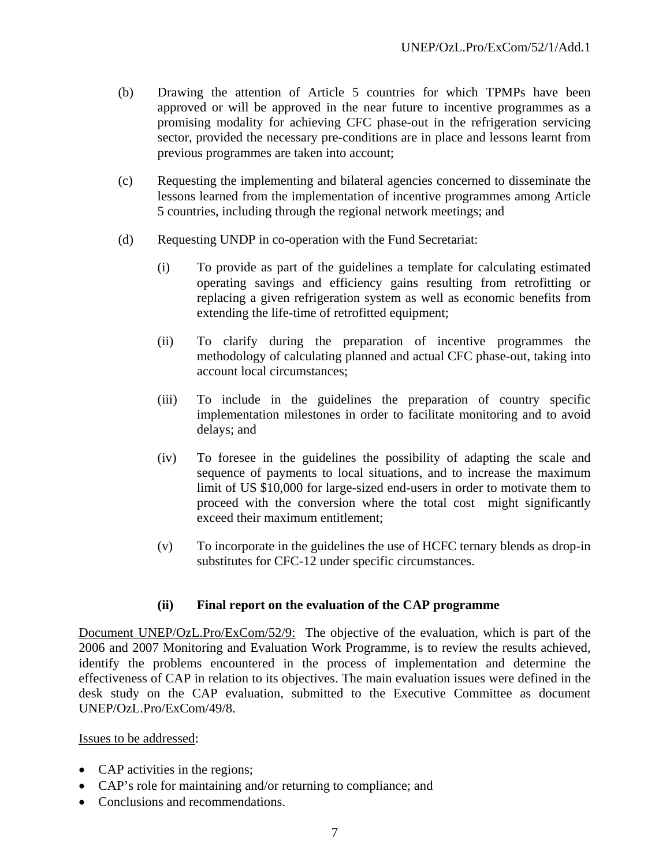- (b) Drawing the attention of Article 5 countries for which TPMPs have been approved or will be approved in the near future to incentive programmes as a promising modality for achieving CFC phase-out in the refrigeration servicing sector, provided the necessary pre-conditions are in place and lessons learnt from previous programmes are taken into account;
- (c) Requesting the implementing and bilateral agencies concerned to disseminate the lessons learned from the implementation of incentive programmes among Article 5 countries, including through the regional network meetings; and
- (d) Requesting UNDP in co-operation with the Fund Secretariat:
	- (i) To provide as part of the guidelines a template for calculating estimated operating savings and efficiency gains resulting from retrofitting or replacing a given refrigeration system as well as economic benefits from extending the life-time of retrofitted equipment;
	- (ii) To clarify during the preparation of incentive programmes the methodology of calculating planned and actual CFC phase-out, taking into account local circumstances;
	- (iii) To include in the guidelines the preparation of country specific implementation milestones in order to facilitate monitoring and to avoid delays; and
	- (iv) To foresee in the guidelines the possibility of adapting the scale and sequence of payments to local situations, and to increase the maximum limit of US \$10,000 for large-sized end-users in order to motivate them to proceed with the conversion where the total cost might significantly exceed their maximum entitlement;
	- (v) To incorporate in the guidelines the use of HCFC ternary blends as drop-in substitutes for CFC-12 under specific circumstances.

### **(ii) Final report on the evaluation of the CAP programme**

Document UNEP/OzL.Pro/ExCom/52/9: The objective of the evaluation, which is part of the 2006 and 2007 Monitoring and Evaluation Work Programme, is to review the results achieved, identify the problems encountered in the process of implementation and determine the effectiveness of CAP in relation to its objectives. The main evaluation issues were defined in the desk study on the CAP evaluation, submitted to the Executive Committee as document UNEP/OzL.Pro/ExCom/49/8.

Issues to be addressed:

- CAP activities in the regions;
- CAP's role for maintaining and/or returning to compliance; and
- Conclusions and recommendations.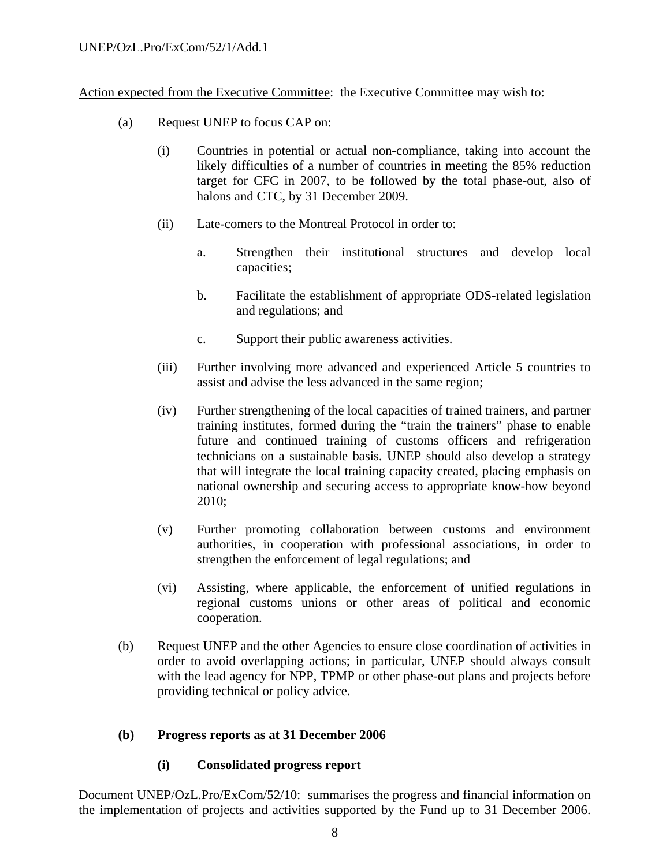Action expected from the Executive Committee: the Executive Committee may wish to:

- (a) Request UNEP to focus CAP on:
	- (i) Countries in potential or actual non-compliance, taking into account the likely difficulties of a number of countries in meeting the 85% reduction target for CFC in 2007, to be followed by the total phase-out, also of halons and CTC, by 31 December 2009.
	- (ii) Late-comers to the Montreal Protocol in order to:
		- a. Strengthen their institutional structures and develop local capacities;
		- b. Facilitate the establishment of appropriate ODS-related legislation and regulations; and
		- c. Support their public awareness activities.
	- (iii) Further involving more advanced and experienced Article 5 countries to assist and advise the less advanced in the same region;
	- (iv) Further strengthening of the local capacities of trained trainers, and partner training institutes, formed during the "train the trainers" phase to enable future and continued training of customs officers and refrigeration technicians on a sustainable basis. UNEP should also develop a strategy that will integrate the local training capacity created, placing emphasis on national ownership and securing access to appropriate know-how beyond 2010;
	- (v) Further promoting collaboration between customs and environment authorities, in cooperation with professional associations, in order to strengthen the enforcement of legal regulations; and
	- (vi) Assisting, where applicable, the enforcement of unified regulations in regional customs unions or other areas of political and economic cooperation.
- (b) Request UNEP and the other Agencies to ensure close coordination of activities in order to avoid overlapping actions; in particular, UNEP should always consult with the lead agency for NPP, TPMP or other phase-out plans and projects before providing technical or policy advice.

### **(b) Progress reports as at 31 December 2006**

### **(i) Consolidated progress report**

Document UNEP/OzL.Pro/ExCom/52/10: summarises the progress and financial information on the implementation of projects and activities supported by the Fund up to 31 December 2006.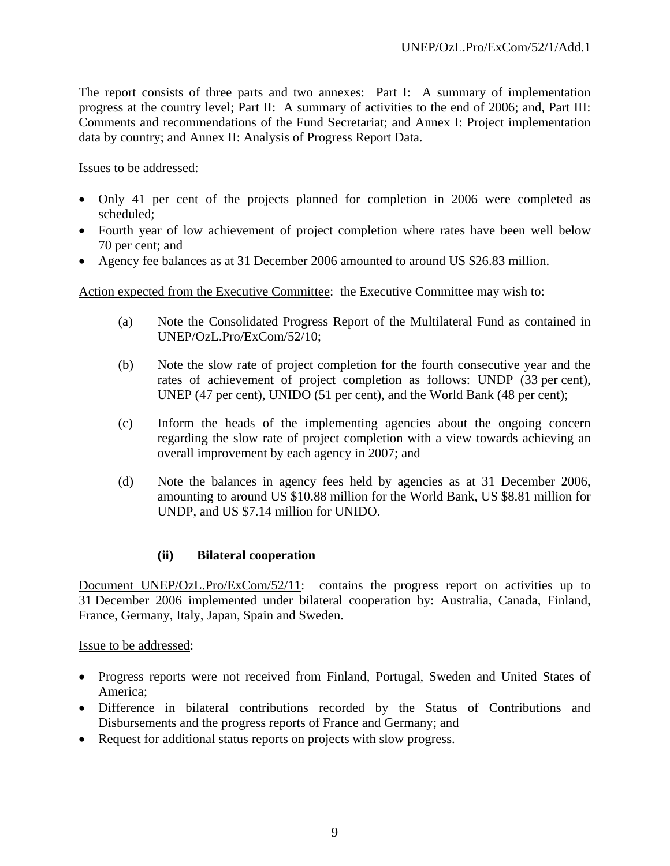The report consists of three parts and two annexes: Part I: A summary of implementation progress at the country level; Part II: A summary of activities to the end of 2006; and, Part III: Comments and recommendations of the Fund Secretariat; and Annex I: Project implementation data by country; and Annex II: Analysis of Progress Report Data.

Issues to be addressed:

- Only 41 per cent of the projects planned for completion in 2006 were completed as scheduled;
- Fourth year of low achievement of project completion where rates have been well below 70 per cent; and
- Agency fee balances as at 31 December 2006 amounted to around US \$26.83 million.

Action expected from the Executive Committee: the Executive Committee may wish to:

- (a) Note the Consolidated Progress Report of the Multilateral Fund as contained in UNEP/OzL.Pro/ExCom/52/10;
- (b) Note the slow rate of project completion for the fourth consecutive year and the rates of achievement of project completion as follows: UNDP (33 per cent), UNEP (47 per cent), UNIDO (51 per cent), and the World Bank (48 per cent);
- (c) Inform the heads of the implementing agencies about the ongoing concern regarding the slow rate of project completion with a view towards achieving an overall improvement by each agency in 2007; and
- (d) Note the balances in agency fees held by agencies as at 31 December 2006, amounting to around US \$10.88 million for the World Bank, US \$8.81 million for UNDP, and US \$7.14 million for UNIDO.

#### **(ii) Bilateral cooperation**

Document UNEP/OzL.Pro/ExCom/52/11: contains the progress report on activities up to 31 December 2006 implemented under bilateral cooperation by: Australia, Canada, Finland, France, Germany, Italy, Japan, Spain and Sweden.

Issue to be addressed:

- Progress reports were not received from Finland, Portugal, Sweden and United States of America;
- Difference in bilateral contributions recorded by the Status of Contributions and Disbursements and the progress reports of France and Germany; and
- Request for additional status reports on projects with slow progress.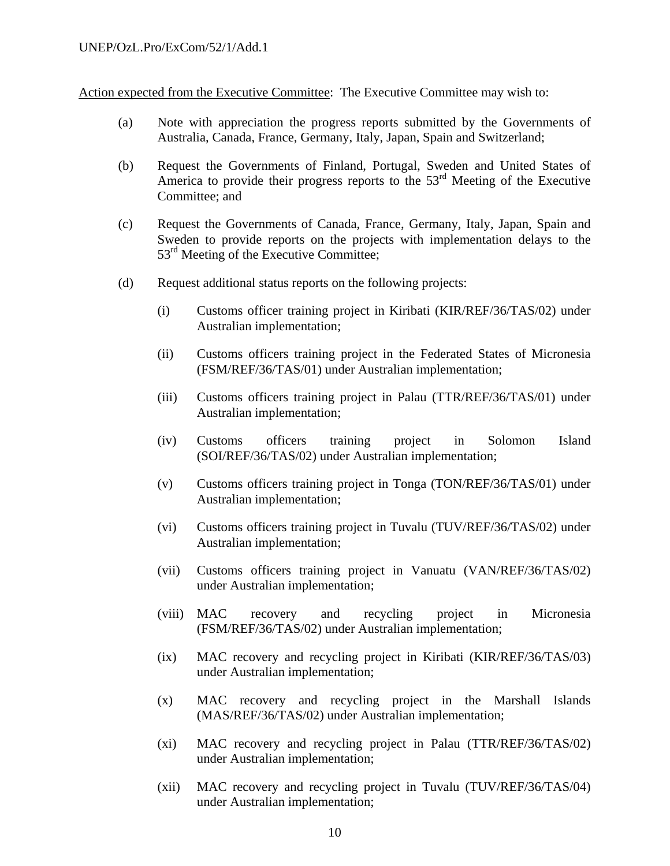Action expected from the Executive Committee: The Executive Committee may wish to:

- (a) Note with appreciation the progress reports submitted by the Governments of Australia, Canada, France, Germany, Italy, Japan, Spain and Switzerland;
- (b) Request the Governments of Finland, Portugal, Sweden and United States of America to provide their progress reports to the 53<sup>rd</sup> Meeting of the Executive Committee; and
- (c) Request the Governments of Canada, France, Germany, Italy, Japan, Spain and Sweden to provide reports on the projects with implementation delays to the 53<sup>rd</sup> Meeting of the Executive Committee;
- (d) Request additional status reports on the following projects:
	- (i) Customs officer training project in Kiribati (KIR/REF/36/TAS/02) under Australian implementation;
	- (ii) Customs officers training project in the Federated States of Micronesia (FSM/REF/36/TAS/01) under Australian implementation;
	- (iii) Customs officers training project in Palau (TTR/REF/36/TAS/01) under Australian implementation;
	- (iv) Customs officers training project in Solomon Island (SOI/REF/36/TAS/02) under Australian implementation;
	- (v) Customs officers training project in Tonga (TON/REF/36/TAS/01) under Australian implementation;
	- (vi) Customs officers training project in Tuvalu (TUV/REF/36/TAS/02) under Australian implementation;
	- (vii) Customs officers training project in Vanuatu (VAN/REF/36/TAS/02) under Australian implementation;
	- (viii) MAC recovery and recycling project in Micronesia (FSM/REF/36/TAS/02) under Australian implementation;
	- (ix) MAC recovery and recycling project in Kiribati (KIR/REF/36/TAS/03) under Australian implementation;
	- (x) MAC recovery and recycling project in the Marshall Islands (MAS/REF/36/TAS/02) under Australian implementation;
	- (xi) MAC recovery and recycling project in Palau (TTR/REF/36/TAS/02) under Australian implementation;
	- (xii) MAC recovery and recycling project in Tuvalu (TUV/REF/36/TAS/04) under Australian implementation;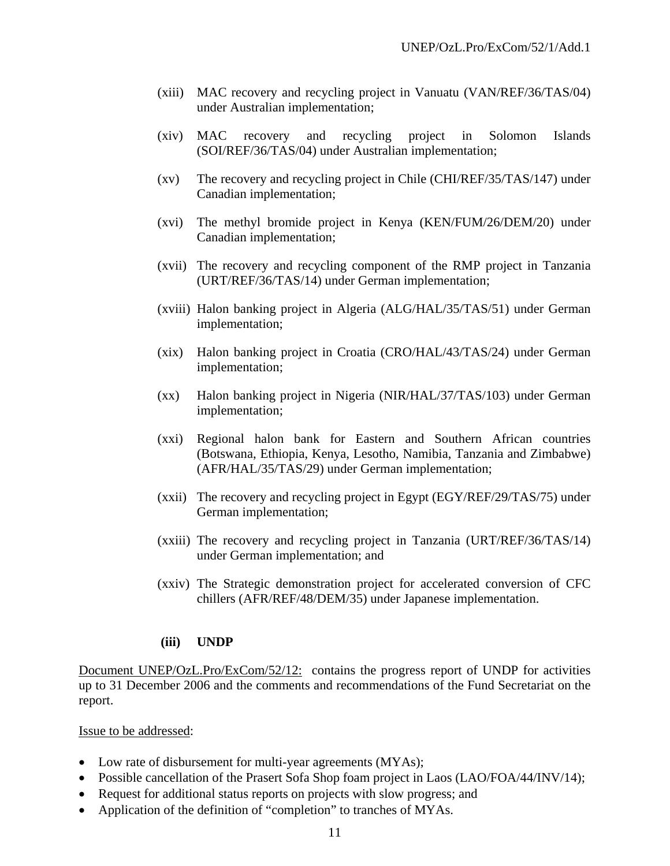- (xiii) MAC recovery and recycling project in Vanuatu (VAN/REF/36/TAS/04) under Australian implementation;
- (xiv) MAC recovery and recycling project in Solomon Islands (SOI/REF/36/TAS/04) under Australian implementation;
- (xv) The recovery and recycling project in Chile (CHI/REF/35/TAS/147) under Canadian implementation;
- (xvi) The methyl bromide project in Kenya (KEN/FUM/26/DEM/20) under Canadian implementation;
- (xvii) The recovery and recycling component of the RMP project in Tanzania (URT/REF/36/TAS/14) under German implementation;
- (xviii) Halon banking project in Algeria (ALG/HAL/35/TAS/51) under German implementation;
- (xix) Halon banking project in Croatia (CRO/HAL/43/TAS/24) under German implementation;
- (xx) Halon banking project in Nigeria (NIR/HAL/37/TAS/103) under German implementation;
- (xxi) Regional halon bank for Eastern and Southern African countries (Botswana, Ethiopia, Kenya, Lesotho, Namibia, Tanzania and Zimbabwe) (AFR/HAL/35/TAS/29) under German implementation;
- (xxii) The recovery and recycling project in Egypt (EGY/REF/29/TAS/75) under German implementation;
- (xxiii) The recovery and recycling project in Tanzania (URT/REF/36/TAS/14) under German implementation; and
- (xxiv) The Strategic demonstration project for accelerated conversion of CFC chillers (AFR/REF/48/DEM/35) under Japanese implementation.

#### **(iii) UNDP**

Document UNEP/OzL.Pro/ExCom/52/12: contains the progress report of UNDP for activities up to 31 December 2006 and the comments and recommendations of the Fund Secretariat on the report.

#### Issue to be addressed:

- Low rate of disbursement for multi-year agreements (MYAs);
- Possible cancellation of the Prasert Sofa Shop foam project in Laos (LAO/FOA/44/INV/14);
- Request for additional status reports on projects with slow progress; and
- Application of the definition of "completion" to tranches of MYAs.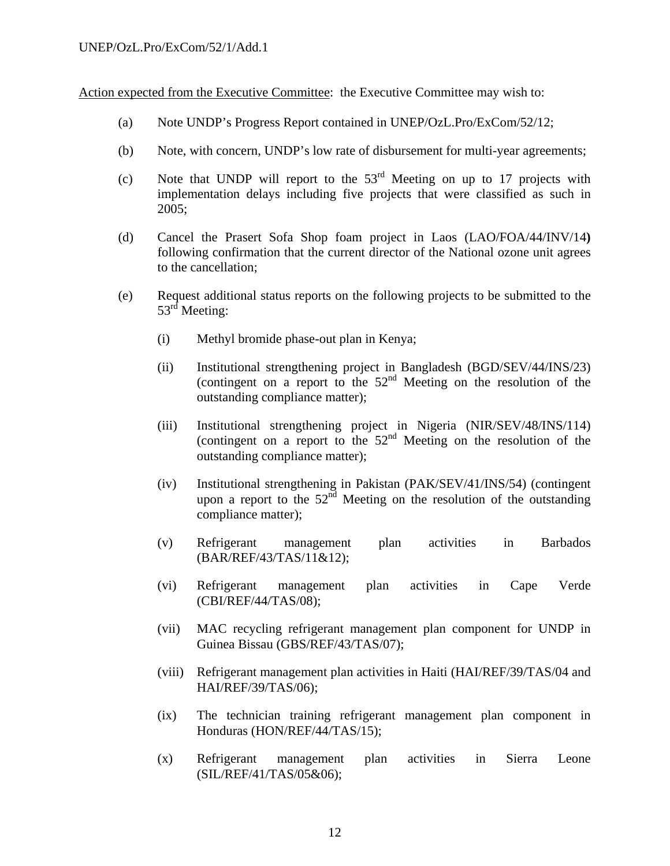Action expected from the Executive Committee: the Executive Committee may wish to:

- (a) Note UNDP's Progress Report contained in UNEP/OzL.Pro/ExCom/52/12;
- (b) Note, with concern, UNDP's low rate of disbursement for multi-year agreements;
- (c) Note that UNDP will report to the  $53<sup>rd</sup>$  Meeting on up to 17 projects with implementation delays including five projects that were classified as such in 2005;
- (d) Cancel the Prasert Sofa Shop foam project in Laos (LAO/FOA/44/INV/14**)**  following confirmation that the current director of the National ozone unit agrees to the cancellation;
- (e) Request additional status reports on the following projects to be submitted to the 53<sup>rd</sup> Meeting:
	- (i) Methyl bromide phase-out plan in Kenya;
	- (ii) Institutional strengthening project in Bangladesh (BGD/SEV/44/INS/23) (contingent on a report to the  $52<sup>nd</sup>$  Meeting on the resolution of the outstanding compliance matter);
	- (iii) Institutional strengthening project in Nigeria (NIR/SEV/48/INS/114) (contingent on a report to the  $52<sup>nd</sup>$  Meeting on the resolution of the outstanding compliance matter);
	- (iv) Institutional strengthening in Pakistan (PAK/SEV/41/INS/54) (contingent upon a report to the  $52^{\overline{nd}}$  Meeting on the resolution of the outstanding compliance matter);
	- (v) Refrigerant management plan activities in Barbados (BAR/REF/43/TAS/11&12);
	- (vi) Refrigerant management plan activities in Cape Verde (CBI/REF/44/TAS/08);
	- (vii) MAC recycling refrigerant management plan component for UNDP in Guinea Bissau (GBS/REF/43/TAS/07);
	- (viii) Refrigerant management plan activities in Haiti (HAI/REF/39/TAS/04 and HAI/REF/39/TAS/06);
	- (ix) The technician training refrigerant management plan component in Honduras (HON/REF/44/TAS/15);
	- (x) Refrigerant management plan activities in Sierra Leone (SIL/REF/41/TAS/05&06);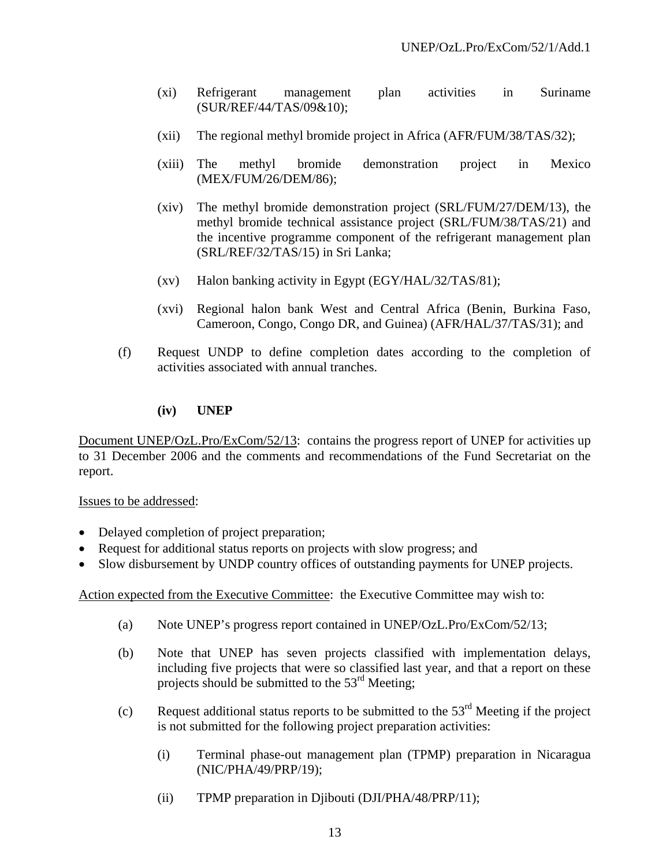- (xi) Refrigerant management plan activities in Suriname (SUR/REF/44/TAS/09&10);
- (xii) The regional methyl bromide project in Africa (AFR/FUM/38/TAS/32);
- (xiii) The methyl bromide demonstration project in Mexico (MEX/FUM/26/DEM/86);
- (xiv) The methyl bromide demonstration project (SRL/FUM/27/DEM/13), the methyl bromide technical assistance project (SRL/FUM/38/TAS/21) and the incentive programme component of the refrigerant management plan (SRL/REF/32/TAS/15) in Sri Lanka;
- (xv) Halon banking activity in Egypt (EGY/HAL/32/TAS/81);
- (xvi) Regional halon bank West and Central Africa (Benin, Burkina Faso, Cameroon, Congo, Congo DR, and Guinea) (AFR/HAL/37/TAS/31); and
- (f) Request UNDP to define completion dates according to the completion of activities associated with annual tranches.

#### **(iv) UNEP**

Document UNEP/OzL.Pro/ExCom/52/13: contains the progress report of UNEP for activities up to 31 December 2006 and the comments and recommendations of the Fund Secretariat on the report.

#### Issues to be addressed:

- Delayed completion of project preparation;
- Request for additional status reports on projects with slow progress; and
- Slow disbursement by UNDP country offices of outstanding payments for UNEP projects.

Action expected from the Executive Committee: the Executive Committee may wish to:

- (a) Note UNEP's progress report contained in UNEP/OzL.Pro/ExCom/52/13;
- (b) Note that UNEP has seven projects classified with implementation delays, including five projects that were so classified last year, and that a report on these projects should be submitted to the  $53<sup>rd</sup>$  Meeting;
- (c) Request additional status reports to be submitted to the  $53<sup>rd</sup>$  Meeting if the project is not submitted for the following project preparation activities:
	- (i) Terminal phase-out management plan (TPMP) preparation in Nicaragua (NIC/PHA/49/PRP/19);
	- (ii) TPMP preparation in Djibouti (DJI/PHA/48/PRP/11);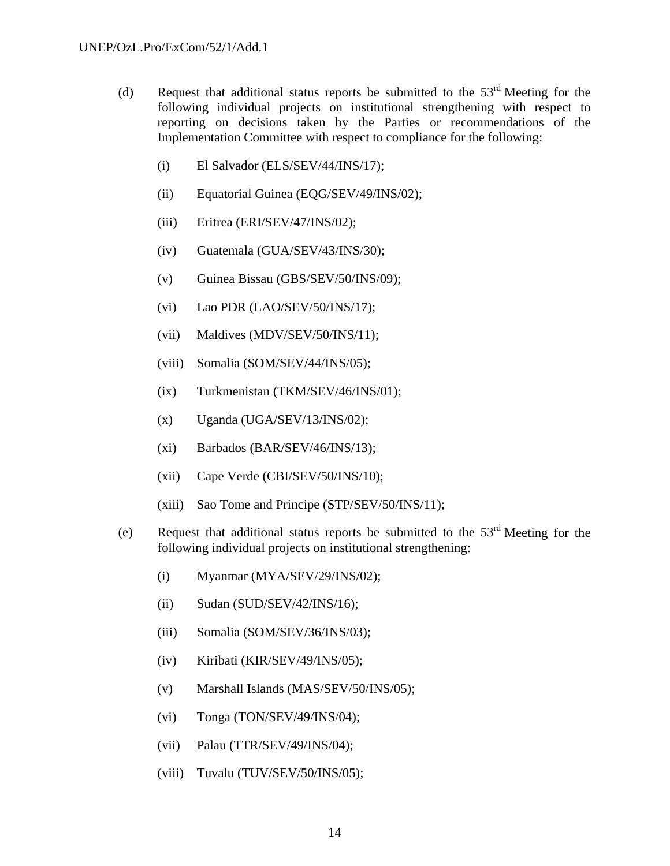- (d) Request that additional status reports be submitted to the  $53<sup>rd</sup>$  Meeting for the following individual projects on institutional strengthening with respect to reporting on decisions taken by the Parties or recommendations of the Implementation Committee with respect to compliance for the following:
	- (i) El Salvador (ELS/SEV/44/INS/17);
	- (ii) Equatorial Guinea (EQG/SEV/49/INS/02);
	- (iii) Eritrea (ERI/SEV/47/INS/02);
	- (iv) Guatemala (GUA/SEV/43/INS/30);
	- (v) Guinea Bissau (GBS/SEV/50/INS/09);
	- (vi) Lao PDR (LAO/SEV/50/INS/17);
	- (vii) Maldives (MDV/SEV/50/INS/11);
	- (viii) Somalia (SOM/SEV/44/INS/05);
	- (ix) Turkmenistan (TKM/SEV/46/INS/01);
	- $(x)$  Uganda (UGA/SEV/13/INS/02);
	- (xi) Barbados (BAR/SEV/46/INS/13);
	- $(xii)$  Cape Verde (CBI/SEV/50/INS/10);
	- (xiii) Sao Tome and Principe (STP/SEV/50/INS/11);
- (e) Request that additional status reports be submitted to the  $53<sup>rd</sup>$  Meeting for the following individual projects on institutional strengthening:
	- (i) Myanmar (MYA/SEV/29/INS/02);
	- (ii) Sudan (SUD/SEV/42/INS/16);
	- (iii) Somalia (SOM/SEV/36/INS/03);
	- (iv) Kiribati (KIR/SEV/49/INS/05);
	- (v) Marshall Islands (MAS/SEV/50/INS/05);
	- (vi) Tonga (TON/SEV/49/INS/04);
	- (vii) Palau (TTR/SEV/49/INS/04);
	- (viii) Tuvalu (TUV/SEV/50/INS/05);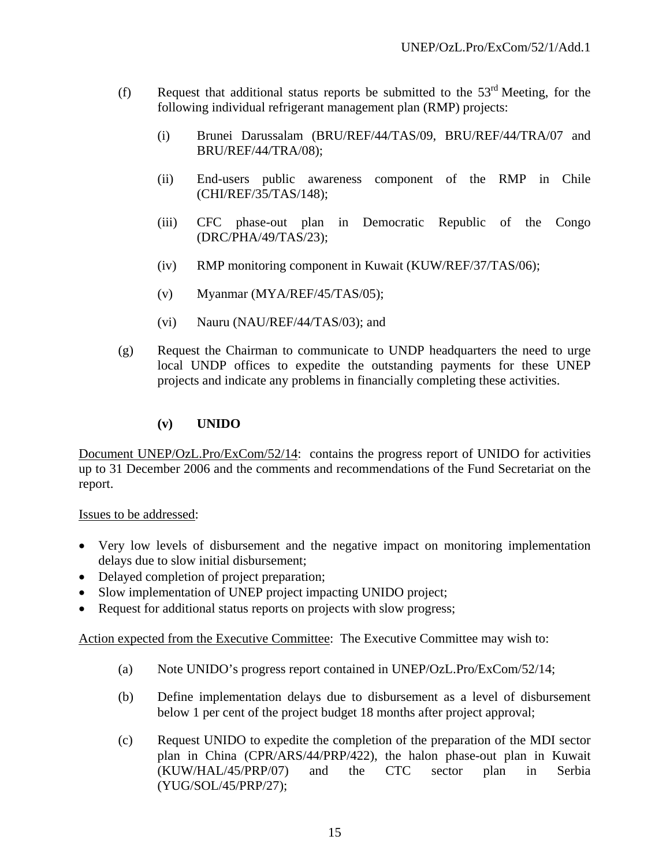- (f) Request that additional status reports be submitted to the  $53<sup>rd</sup>$  Meeting, for the following individual refrigerant management plan (RMP) projects:
	- (i) Brunei Darussalam (BRU/REF/44/TAS/09, BRU/REF/44/TRA/07 and BRU/REF/44/TRA/08);
	- (ii) End-users public awareness component of the RMP in Chile (CHI/REF/35/TAS/148);
	- (iii) CFC phase-out plan in Democratic Republic of the Congo (DRC/PHA/49/TAS/23);
	- (iv) RMP monitoring component in Kuwait (KUW/REF/37/TAS/06);
	- (v) Myanmar (MYA/REF/45/TAS/05);
	- (vi) Nauru (NAU/REF/44/TAS/03); and
- (g) Request the Chairman to communicate to UNDP headquarters the need to urge local UNDP offices to expedite the outstanding payments for these UNEP projects and indicate any problems in financially completing these activities.

### **(v) UNIDO**

Document UNEP/OzL.Pro/ExCom/52/14: contains the progress report of UNIDO for activities up to 31 December 2006 and the comments and recommendations of the Fund Secretariat on the report.

#### Issues to be addressed:

- Very low levels of disbursement and the negative impact on monitoring implementation delays due to slow initial disbursement;
- Delayed completion of project preparation;
- Slow implementation of UNEP project impacting UNIDO project;
- Request for additional status reports on projects with slow progress;

Action expected from the Executive Committee: The Executive Committee may wish to:

- (a) Note UNIDO's progress report contained in UNEP/OzL.Pro/ExCom/52/14;
- (b) Define implementation delays due to disbursement as a level of disbursement below 1 per cent of the project budget 18 months after project approval;
- (c) Request UNIDO to expedite the completion of the preparation of the MDI sector plan in China (CPR/ARS/44/PRP/422), the halon phase-out plan in Kuwait (KUW/HAL/45/PRP/07) and the CTC sector plan in Serbia (YUG/SOL/45/PRP/27);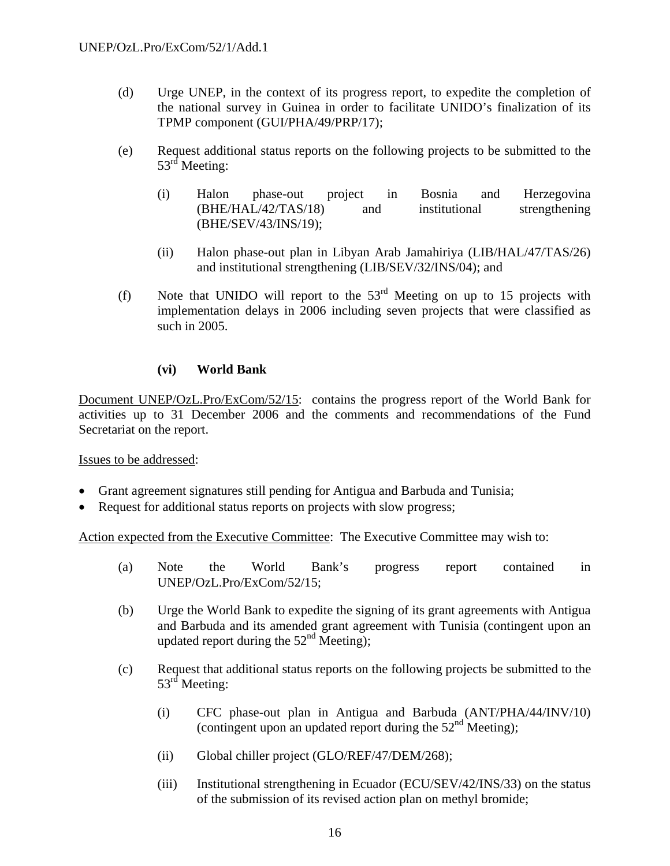- (d) Urge UNEP, in the context of its progress report, to expedite the completion of the national survey in Guinea in order to facilitate UNIDO's finalization of its TPMP component (GUI/PHA/49/PRP/17);
- (e) Request additional status reports on the following projects to be submitted to the 53<sup>rd</sup> Meeting:
	- (i) Halon phase-out project in Bosnia and Herzegovina (BHE/HAL/42/TAS/18) and institutional strengthening (BHE/SEV/43/INS/19);
	- (ii) Halon phase-out plan in Libyan Arab Jamahiriya (LIB/HAL/47/TAS/26) and institutional strengthening (LIB/SEV/32/INS/04); and
- (f) Note that UNIDO will report to the  $53<sup>rd</sup>$  Meeting on up to 15 projects with implementation delays in 2006 including seven projects that were classified as such in 2005.

### **(vi) World Bank**

Document UNEP/OzL.Pro/ExCom/52/15: contains the progress report of the World Bank for activities up to 31 December 2006 and the comments and recommendations of the Fund Secretariat on the report.

Issues to be addressed:

- Grant agreement signatures still pending for Antigua and Barbuda and Tunisia;
- Request for additional status reports on projects with slow progress;

Action expected from the Executive Committee: The Executive Committee may wish to:

- (a) Note the World Bank's progress report contained in UNEP/OzL.Pro/ExCom/52/15;
- (b) Urge the World Bank to expedite the signing of its grant agreements with Antigua and Barbuda and its amended grant agreement with Tunisia (contingent upon an updated report during the  $52<sup>nd</sup>$  Meeting);
- (c) Request that additional status reports on the following projects be submitted to the 53<sup>rd</sup> Meeting:
	- (i) CFC phase-out plan in Antigua and Barbuda (ANT/PHA/44/INV/10) (contingent upon an updated report during the 52nd Meeting);
	- (ii) Global chiller project (GLO/REF/47/DEM/268);
	- (iii) Institutional strengthening in Ecuador (ECU/SEV/42/INS/33) on the status of the submission of its revised action plan on methyl bromide;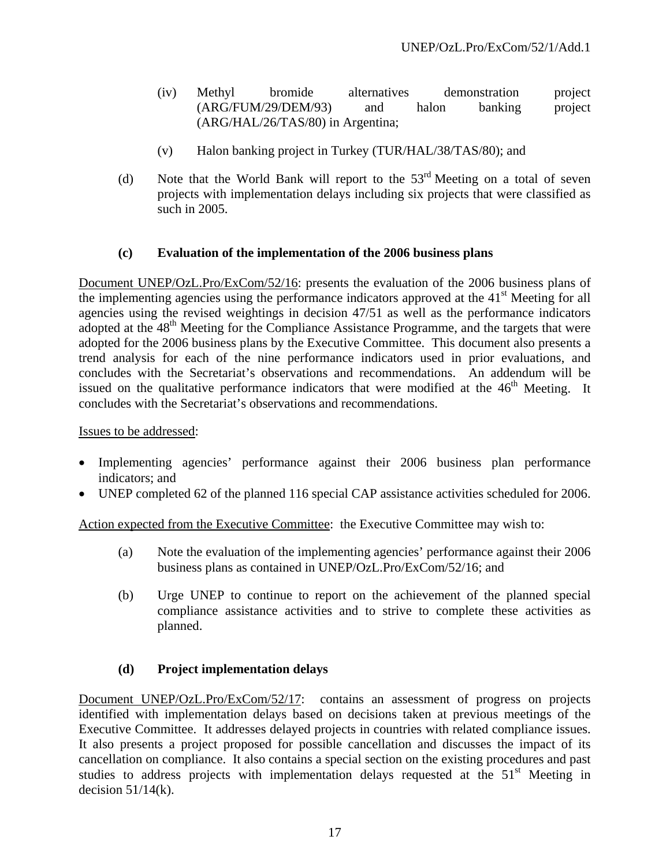- (iv) Methyl bromide alternatives demonstration project (ARG/FUM/29/DEM/93) and halon banking project (ARG/HAL/26/TAS/80) in Argentina;
- (v) Halon banking project in Turkey (TUR/HAL/38/TAS/80); and
- (d) Note that the World Bank will report to the  $53<sup>rd</sup>$  Meeting on a total of seven projects with implementation delays including six projects that were classified as such in 2005.

### **(c) Evaluation of the implementation of the 2006 business plans**

Document UNEP/OzL.Pro/ExCom/52/16: presents the evaluation of the 2006 business plans of the implementing agencies using the performance indicators approved at the  $41<sup>st</sup>$  Meeting for all agencies using the revised weightings in decision 47/51 as well as the performance indicators adopted at the 48<sup>th</sup> Meeting for the Compliance Assistance Programme, and the targets that were adopted for the 2006 business plans by the Executive Committee. This document also presents a trend analysis for each of the nine performance indicators used in prior evaluations, and concludes with the Secretariat's observations and recommendations. An addendum will be issued on the qualitative performance indicators that were modified at the  $46<sup>th</sup>$  Meeting. It concludes with the Secretariat's observations and recommendations.

### Issues to be addressed:

- Implementing agencies' performance against their 2006 business plan performance indicators; and
- UNEP completed 62 of the planned 116 special CAP assistance activities scheduled for 2006.

Action expected from the Executive Committee: the Executive Committee may wish to:

- (a) Note the evaluation of the implementing agencies' performance against their 2006 business plans as contained in UNEP/OzL.Pro/ExCom/52/16; and
- (b) Urge UNEP to continue to report on the achievement of the planned special compliance assistance activities and to strive to complete these activities as planned.

### **(d) Project implementation delays**

Document UNEP/OzL.Pro/ExCom/52/17: contains an assessment of progress on projects identified with implementation delays based on decisions taken at previous meetings of the Executive Committee. It addresses delayed projects in countries with related compliance issues. It also presents a project proposed for possible cancellation and discusses the impact of its cancellation on compliance. It also contains a special section on the existing procedures and past studies to address projects with implementation delays requested at the  $51<sup>st</sup>$  Meeting in decision  $51/14(k)$ .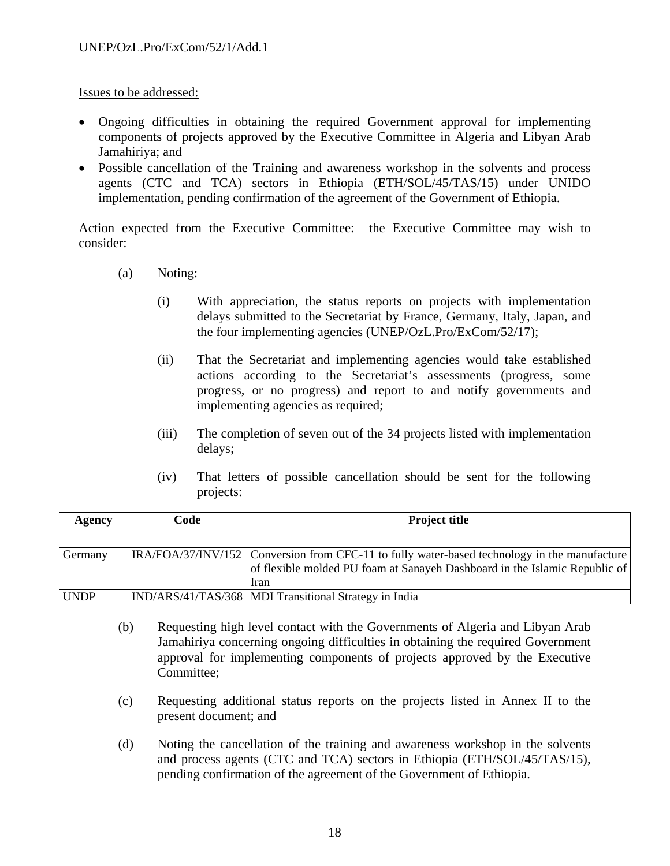### Issues to be addressed:

- Ongoing difficulties in obtaining the required Government approval for implementing components of projects approved by the Executive Committee in Algeria and Libyan Arab Jamahiriya; and
- Possible cancellation of the Training and awareness workshop in the solvents and process agents (CTC and TCA) sectors in Ethiopia (ETH/SOL/45/TAS/15) under UNIDO implementation, pending confirmation of the agreement of the Government of Ethiopia.

Action expected from the Executive Committee: the Executive Committee may wish to consider:

- (a) Noting:
	- (i) With appreciation, the status reports on projects with implementation delays submitted to the Secretariat by France, Germany, Italy, Japan, and the four implementing agencies (UNEP/OzL.Pro/ExCom/52/17);
	- (ii) That the Secretariat and implementing agencies would take established actions according to the Secretariat's assessments (progress, some progress, or no progress) and report to and notify governments and implementing agencies as required;
	- (iii) The completion of seven out of the 34 projects listed with implementation delays;
	- (iv) That letters of possible cancellation should be sent for the following projects:

| Agency      | Code | <b>Project title</b>                                                                                                                                                               |
|-------------|------|------------------------------------------------------------------------------------------------------------------------------------------------------------------------------------|
|             |      |                                                                                                                                                                                    |
| Germany     |      | IRA/FOA/37/INV/152 Conversion from CFC-11 to fully water-based technology in the manufacture<br>of flexible molded PU foam at Sanayeh Dashboard in the Islamic Republic of<br>Iran |
| <b>UNDP</b> |      | IND/ARS/41/TAS/368   MDI Transitional Strategy in India                                                                                                                            |

- (b) Requesting high level contact with the Governments of Algeria and Libyan Arab Jamahiriya concerning ongoing difficulties in obtaining the required Government approval for implementing components of projects approved by the Executive Committee;
- (c) Requesting additional status reports on the projects listed in Annex II to the present document; and
- (d) Noting the cancellation of the training and awareness workshop in the solvents and process agents (CTC and TCA) sectors in Ethiopia (ETH/SOL/45/TAS/15), pending confirmation of the agreement of the Government of Ethiopia.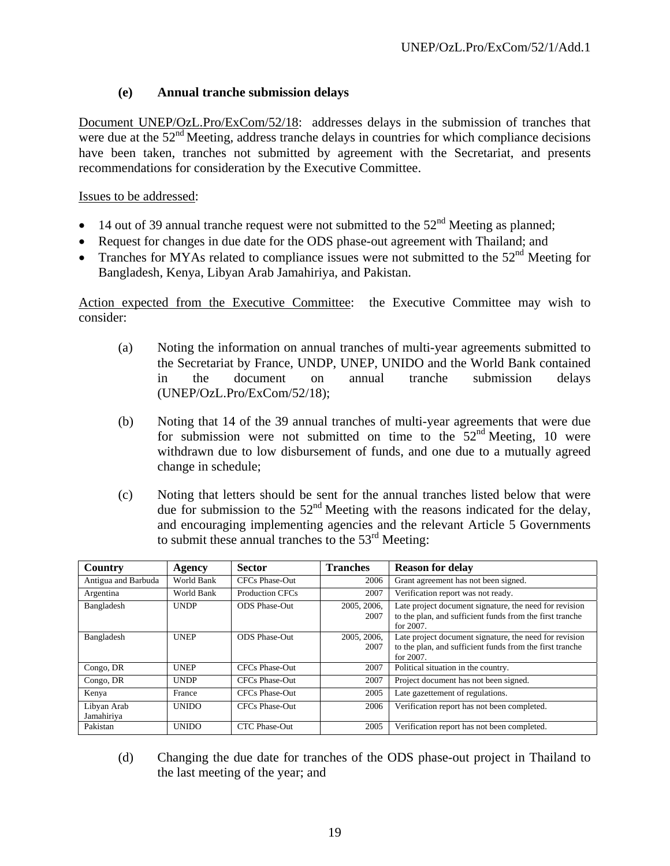## **(e) Annual tranche submission delays**

Document UNEP/OzL.Pro/ExCom/52/18: addresses delays in the submission of tranches that were due at the  $52<sup>nd</sup>$  Meeting, address tranche delays in countries for which compliance decisions have been taken, tranches not submitted by agreement with the Secretariat, and presents recommendations for consideration by the Executive Committee.

Issues to be addressed:

- 14 out of 39 annual tranche request were not submitted to the  $52<sup>nd</sup>$  Meeting as planned;
- Request for changes in due date for the ODS phase-out agreement with Thailand; and
- Tranches for MYAs related to compliance issues were not submitted to the  $52<sup>nd</sup>$  Meeting for Bangladesh, Kenya, Libyan Arab Jamahiriya, and Pakistan.

Action expected from the Executive Committee: the Executive Committee may wish to consider:

- (a) Noting the information on annual tranches of multi-year agreements submitted to the Secretariat by France, UNDP, UNEP, UNIDO and the World Bank contained in the document on annual tranche submission delays (UNEP/OzL.Pro/ExCom/52/18);
- (b) Noting that 14 of the 39 annual tranches of multi-year agreements that were due for submission were not submitted on time to the  $52<sup>nd</sup>$  Meeting, 10 were withdrawn due to low disbursement of funds, and one due to a mutually agreed change in schedule;
- (c) Noting that letters should be sent for the annual tranches listed below that were due for submission to the  $52<sup>nd</sup>$  Meeting with the reasons indicated for the delay, and encouraging implementing agencies and the relevant Article 5 Governments to submit these annual tranches to the  $53<sup>rd</sup>$  Meeting:

| <b>Country</b>            | Agency       | <b>Sector</b>          | <b>Tranches</b>     | <b>Reason for delay</b>                                                                                                            |
|---------------------------|--------------|------------------------|---------------------|------------------------------------------------------------------------------------------------------------------------------------|
| Antigua and Barbuda       | World Bank   | CFCs Phase-Out         | 2006                | Grant agreement has not been signed.                                                                                               |
| Argentina                 | World Bank   | <b>Production CFCs</b> | 2007                | Verification report was not ready.                                                                                                 |
| Bangladesh                | <b>UNDP</b>  | <b>ODS</b> Phase-Out   | 2005, 2006,<br>2007 | Late project document signature, the need for revision<br>to the plan, and sufficient funds from the first tranche<br>for $2007$ . |
| Bangladesh                | <b>UNEP</b>  | <b>ODS</b> Phase-Out   | 2005, 2006,<br>2007 | Late project document signature, the need for revision<br>to the plan, and sufficient funds from the first tranche<br>for 2007.    |
| Congo, DR                 | <b>UNEP</b>  | CFCs Phase-Out         | 2007                | Political situation in the country.                                                                                                |
| Congo, DR                 | <b>UNDP</b>  | CFCs Phase-Out         | 2007                | Project document has not been signed.                                                                                              |
| Kenya                     | France       | CFCs Phase-Out         | 2005                | Late gazettement of regulations.                                                                                                   |
| Libyan Arab<br>Jamahiriya | <b>UNIDO</b> | CFCs Phase-Out         | 2006                | Verification report has not been completed.                                                                                        |
| Pakistan                  | <b>UNIDO</b> | <b>CTC Phase-Out</b>   | 2005                | Verification report has not been completed.                                                                                        |

(d) Changing the due date for tranches of the ODS phase-out project in Thailand to the last meeting of the year; and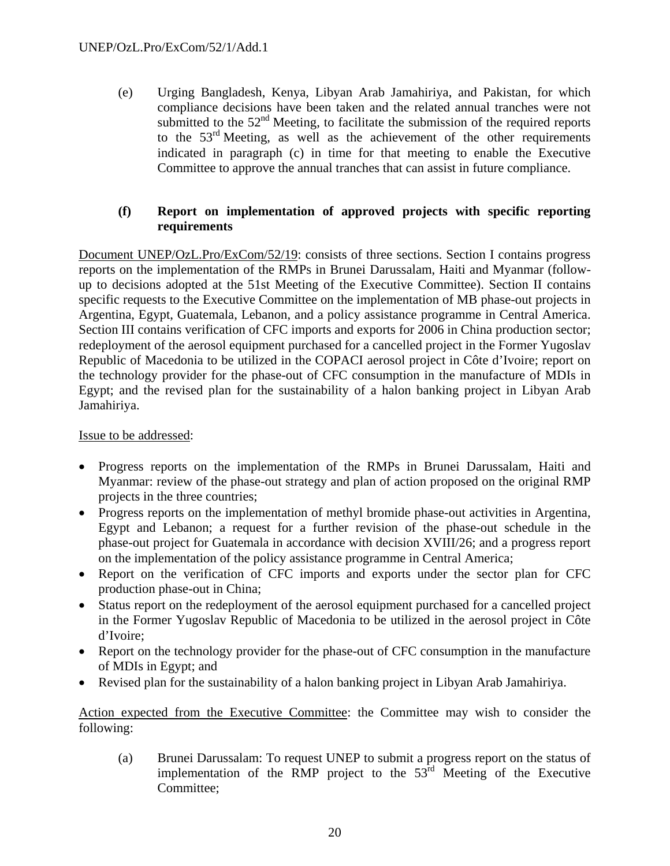(e) Urging Bangladesh, Kenya, Libyan Arab Jamahiriya, and Pakistan, for which compliance decisions have been taken and the related annual tranches were not submitted to the  $52<sup>nd</sup>$  Meeting, to facilitate the submission of the required reports to the  $53<sup>rd</sup>$  Meeting, as well as the achievement of the other requirements indicated in paragraph (c) in time for that meeting to enable the Executive Committee to approve the annual tranches that can assist in future compliance.

### **(f) Report on implementation of approved projects with specific reporting requirements**

Document UNEP/OzL.Pro/ExCom/52/19: consists of three sections. Section I contains progress reports on the implementation of the RMPs in Brunei Darussalam, Haiti and Myanmar (followup to decisions adopted at the 51st Meeting of the Executive Committee). Section II contains specific requests to the Executive Committee on the implementation of MB phase-out projects in Argentina, Egypt, Guatemala, Lebanon, and a policy assistance programme in Central America. Section III contains verification of CFC imports and exports for 2006 in China production sector; redeployment of the aerosol equipment purchased for a cancelled project in the Former Yugoslav Republic of Macedonia to be utilized in the COPACI aerosol project in Côte d'Ivoire; report on the technology provider for the phase-out of CFC consumption in the manufacture of MDIs in Egypt; and the revised plan for the sustainability of a halon banking project in Libyan Arab Jamahiriya.

#### Issue to be addressed:

- Progress reports on the implementation of the RMPs in Brunei Darussalam, Haiti and Myanmar: review of the phase-out strategy and plan of action proposed on the original RMP projects in the three countries;
- Progress reports on the implementation of methyl bromide phase-out activities in Argentina, Egypt and Lebanon; a request for a further revision of the phase-out schedule in the phase-out project for Guatemala in accordance with decision XVIII/26; and a progress report on the implementation of the policy assistance programme in Central America;
- Report on the verification of CFC imports and exports under the sector plan for CFC production phase-out in China;
- Status report on the redeployment of the aerosol equipment purchased for a cancelled project in the Former Yugoslav Republic of Macedonia to be utilized in the aerosol project in Côte d'Ivoire;
- Report on the technology provider for the phase-out of CFC consumption in the manufacture of MDIs in Egypt; and
- Revised plan for the sustainability of a halon banking project in Libyan Arab Jamahiriya.

Action expected from the Executive Committee: the Committee may wish to consider the following:

(a) Brunei Darussalam: To request UNEP to submit a progress report on the status of implementation of the RMP project to the  $53<sup>rd</sup>$  Meeting of the Executive Committee;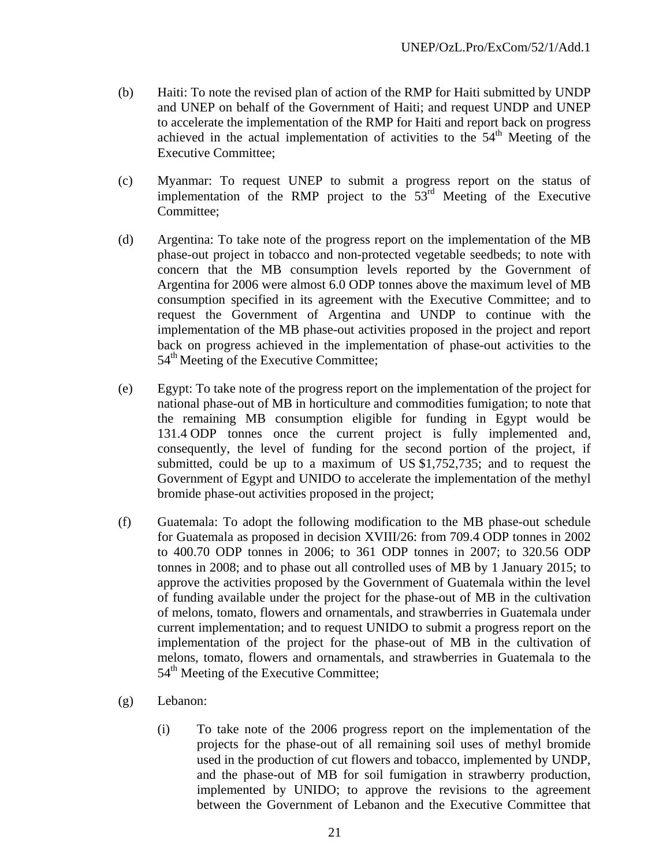- (b) Haiti: To note the revised plan of action of the RMP for Haiti submitted by UNDP and UNEP on behalf of the Government of Haiti; and request UNDP and UNEP to accelerate the implementation of the RMP for Haiti and report back on progress achieved in the actual implementation of activities to the  $54<sup>th</sup>$  Meeting of the Executive Committee;
- (c) Myanmar: To request UNEP to submit a progress report on the status of implementation of the RMP project to the 53rd Meeting of the Executive Committee;
- (d) Argentina: To take note of the progress report on the implementation of the MB phase-out project in tobacco and non-protected vegetable seedbeds; to note with concern that the MB consumption levels reported by the Government of Argentina for 2006 were almost 6.0 ODP tonnes above the maximum level of MB consumption specified in its agreement with the Executive Committee; and to request the Government of Argentina and UNDP to continue with the implementation of the MB phase-out activities proposed in the project and report back on progress achieved in the implementation of phase-out activities to the  $54<sup>th</sup>$  Meeting of the Executive Committee;
- (e) Egypt: To take note of the progress report on the implementation of the project for national phase-out of MB in horticulture and commodities fumigation; to note that the remaining MB consumption eligible for funding in Egypt would be 131.4 ODP tonnes once the current project is fully implemented and, consequently, the level of funding for the second portion of the project, if submitted, could be up to a maximum of US \$1,752,735; and to request the Government of Egypt and UNIDO to accelerate the implementation of the methyl bromide phase-out activities proposed in the project;
- (f) Guatemala: To adopt the following modification to the MB phase-out schedule for Guatemala as proposed in decision XVIII/26: from 709.4 ODP tonnes in 2002 to 400.70 ODP tonnes in 2006; to 361 ODP tonnes in 2007; to 320.56 ODP tonnes in 2008; and to phase out all controlled uses of MB by 1 January 2015; to approve the activities proposed by the Government of Guatemala within the level of funding available under the project for the phase-out of MB in the cultivation of melons, tomato, flowers and ornamentals, and strawberries in Guatemala under current implementation; and to request UNIDO to submit a progress report on the implementation of the project for the phase-out of MB in the cultivation of melons, tomato, flowers and ornamentals, and strawberries in Guatemala to the 54<sup>th</sup> Meeting of the Executive Committee:
- (g) Lebanon:
	- (i) To take note of the 2006 progress report on the implementation of the projects for the phase-out of all remaining soil uses of methyl bromide used in the production of cut flowers and tobacco, implemented by UNDP, and the phase-out of MB for soil fumigation in strawberry production, implemented by UNIDO; to approve the revisions to the agreement between the Government of Lebanon and the Executive Committee that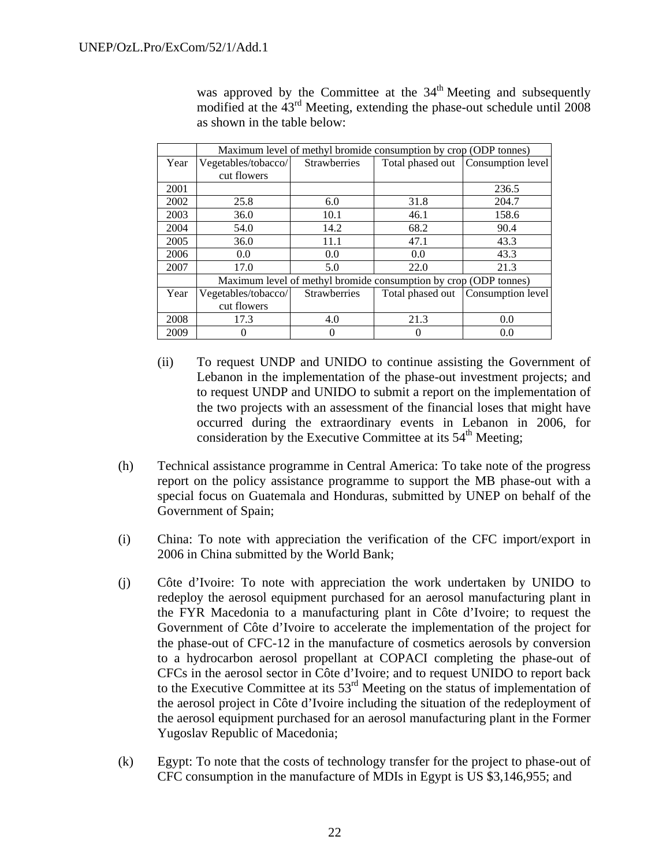was approved by the Committee at the  $34<sup>th</sup>$  Meeting and subsequently modified at the  $43<sup>rd</sup>$  Meeting, extending the phase-out schedule until 2008 as shown in the table below:

|      | Maximum level of methyl bromide consumption by crop (ODP tonnes) |                     |                  |                   |  |
|------|------------------------------------------------------------------|---------------------|------------------|-------------------|--|
| Year | Vegetables/tobacco/                                              | <b>Strawberries</b> | Total phased out | Consumption level |  |
|      | cut flowers                                                      |                     |                  |                   |  |
| 2001 |                                                                  |                     |                  | 236.5             |  |
| 2002 | 25.8                                                             | 6.0                 | 31.8             | 204.7             |  |
| 2003 | 36.0                                                             | 10.1                | 46.1             | 158.6             |  |
| 2004 | 54.0                                                             | 14.2                | 68.2             | 90.4              |  |
| 2005 | 36.0                                                             | 11.1                | 47.1             | 43.3              |  |
| 2006 | 0.0                                                              | 0.0                 | 0.0              | 43.3              |  |
| 2007 | 17.0                                                             | 5.0                 | 22.0             | 21.3              |  |
|      | Maximum level of methyl bromide consumption by crop (ODP tonnes) |                     |                  |                   |  |
| Year | Vegetables/tobacco/                                              | <b>Strawberries</b> | Total phased out | Consumption level |  |
|      | cut flowers                                                      |                     |                  |                   |  |
| 2008 | 17.3                                                             | 4.0                 | 21.3             | 0.0               |  |
| 2009 | 0                                                                |                     | 0                | 0.0               |  |

- (ii) To request UNDP and UNIDO to continue assisting the Government of Lebanon in the implementation of the phase-out investment projects; and to request UNDP and UNIDO to submit a report on the implementation of the two projects with an assessment of the financial loses that might have occurred during the extraordinary events in Lebanon in 2006, for consideration by the Executive Committee at its  $54<sup>th</sup>$  Meeting;
- (h) Technical assistance programme in Central America: To take note of the progress report on the policy assistance programme to support the MB phase-out with a special focus on Guatemala and Honduras, submitted by UNEP on behalf of the Government of Spain;
- (i) China: To note with appreciation the verification of the CFC import/export in 2006 in China submitted by the World Bank;
- (j) Côte d'Ivoire: To note with appreciation the work undertaken by UNIDO to redeploy the aerosol equipment purchased for an aerosol manufacturing plant in the FYR Macedonia to a manufacturing plant in Côte d'Ivoire; to request the Government of Côte d'Ivoire to accelerate the implementation of the project for the phase-out of CFC-12 in the manufacture of cosmetics aerosols by conversion to a hydrocarbon aerosol propellant at COPACI completing the phase-out of CFCs in the aerosol sector in Côte d'Ivoire; and to request UNIDO to report back to the Executive Committee at its  $53<sup>rd</sup>$  Meeting on the status of implementation of the aerosol project in Côte d'Ivoire including the situation of the redeployment of the aerosol equipment purchased for an aerosol manufacturing plant in the Former Yugoslav Republic of Macedonia;
- (k) Egypt: To note that the costs of technology transfer for the project to phase-out of CFC consumption in the manufacture of MDIs in Egypt is US \$3,146,955; and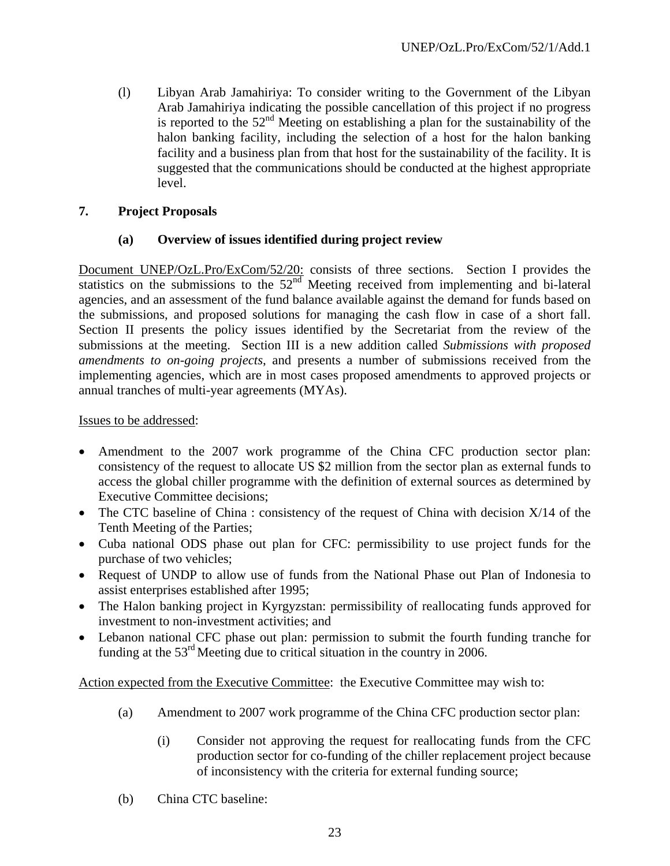(l) Libyan Arab Jamahiriya: To consider writing to the Government of the Libyan Arab Jamahiriya indicating the possible cancellation of this project if no progress is reported to the  $52<sup>nd</sup>$  Meeting on establishing a plan for the sustainability of the halon banking facility, including the selection of a host for the halon banking facility and a business plan from that host for the sustainability of the facility. It is suggested that the communications should be conducted at the highest appropriate level.

### **7. Project Proposals**

#### **(a) Overview of issues identified during project review**

Document UNEP/OzL.Pro/ExCom/52/20: consists of three sections. Section I provides the statistics on the submissions to the  $52<sup>nd</sup>$  Meeting received from implementing and bi-lateral agencies, and an assessment of the fund balance available against the demand for funds based on the submissions, and proposed solutions for managing the cash flow in case of a short fall. Section II presents the policy issues identified by the Secretariat from the review of the submissions at the meeting. Section III is a new addition called *Submissions with proposed amendments to on-going projects*, and presents a number of submissions received from the implementing agencies, which are in most cases proposed amendments to approved projects or annual tranches of multi-year agreements (MYAs).

#### Issues to be addressed:

- Amendment to the 2007 work programme of the China CFC production sector plan: consistency of the request to allocate US \$2 million from the sector plan as external funds to access the global chiller programme with the definition of external sources as determined by Executive Committee decisions;
- The CTC baseline of China : consistency of the request of China with decision X/14 of the Tenth Meeting of the Parties;
- Cuba national ODS phase out plan for CFC: permissibility to use project funds for the purchase of two vehicles;
- Request of UNDP to allow use of funds from the National Phase out Plan of Indonesia to assist enterprises established after 1995;
- The Halon banking project in Kyrgyzstan: permissibility of reallocating funds approved for investment to non-investment activities; and
- Lebanon national CFC phase out plan: permission to submit the fourth funding tranche for funding at the 53rd Meeting due to critical situation in the country in 2006.

Action expected from the Executive Committee: the Executive Committee may wish to:

- (a) Amendment to 2007 work programme of the China CFC production sector plan:
	- (i) Consider not approving the request for reallocating funds from the CFC production sector for co-funding of the chiller replacement project because of inconsistency with the criteria for external funding source;
- (b) China CTC baseline: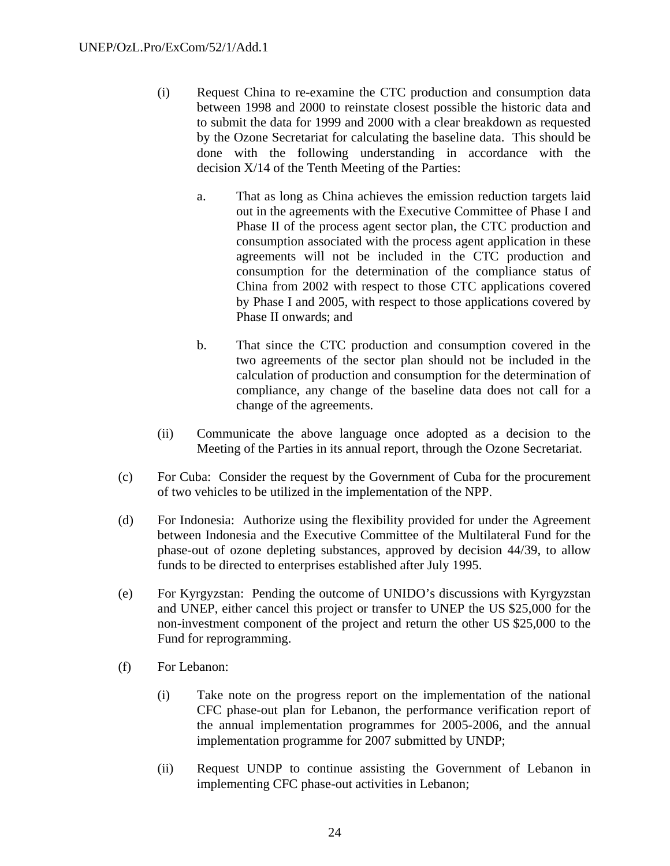- (i) Request China to re-examine the CTC production and consumption data between 1998 and 2000 to reinstate closest possible the historic data and to submit the data for 1999 and 2000 with a clear breakdown as requested by the Ozone Secretariat for calculating the baseline data. This should be done with the following understanding in accordance with the decision X/14 of the Tenth Meeting of the Parties:
	- a. That as long as China achieves the emission reduction targets laid out in the agreements with the Executive Committee of Phase I and Phase II of the process agent sector plan, the CTC production and consumption associated with the process agent application in these agreements will not be included in the CTC production and consumption for the determination of the compliance status of China from 2002 with respect to those CTC applications covered by Phase I and 2005, with respect to those applications covered by Phase II onwards; and
	- b. That since the CTC production and consumption covered in the two agreements of the sector plan should not be included in the calculation of production and consumption for the determination of compliance, any change of the baseline data does not call for a change of the agreements.
- (ii) Communicate the above language once adopted as a decision to the Meeting of the Parties in its annual report, through the Ozone Secretariat.
- (c) For Cuba: Consider the request by the Government of Cuba for the procurement of two vehicles to be utilized in the implementation of the NPP.
- (d) For Indonesia: Authorize using the flexibility provided for under the Agreement between Indonesia and the Executive Committee of the Multilateral Fund for the phase-out of ozone depleting substances, approved by decision 44/39, to allow funds to be directed to enterprises established after July 1995.
- (e) For Kyrgyzstan: Pending the outcome of UNIDO's discussions with Kyrgyzstan and UNEP, either cancel this project or transfer to UNEP the US \$25,000 for the non-investment component of the project and return the other US \$25,000 to the Fund for reprogramming.
- (f) For Lebanon:
	- (i) Take note on the progress report on the implementation of the national CFC phase-out plan for Lebanon, the performance verification report of the annual implementation programmes for 2005-2006, and the annual implementation programme for 2007 submitted by UNDP;
	- (ii) Request UNDP to continue assisting the Government of Lebanon in implementing CFC phase-out activities in Lebanon;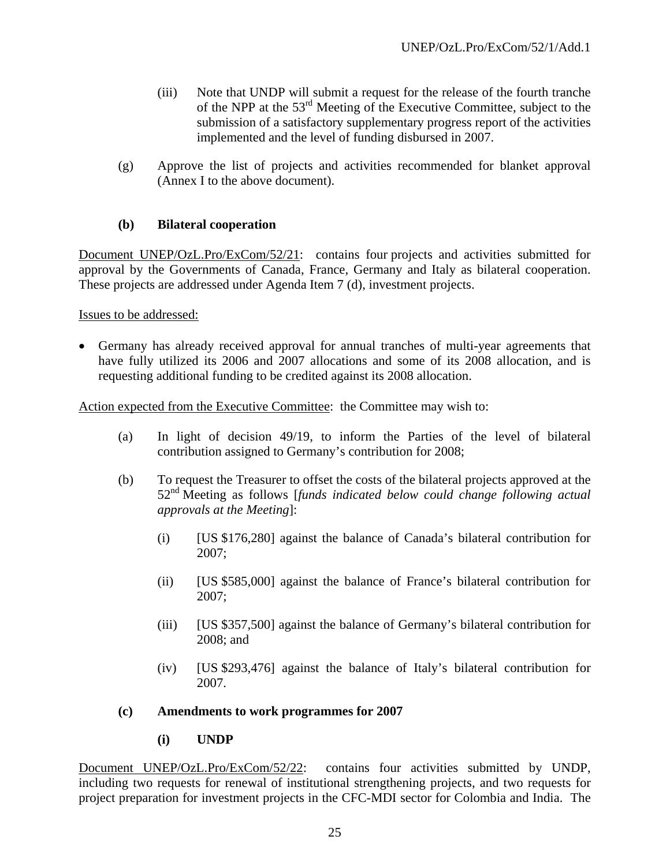- (iii) Note that UNDP will submit a request for the release of the fourth tranche of the NPP at the  $53<sup>rd</sup>$  Meeting of the Executive Committee, subject to the submission of a satisfactory supplementary progress report of the activities implemented and the level of funding disbursed in 2007.
- (g) Approve the list of projects and activities recommended for blanket approval (Annex I to the above document).

### **(b) Bilateral cooperation**

Document UNEP/OzL.Pro/ExCom/52/21: contains four projects and activities submitted for approval by the Governments of Canada, France, Germany and Italy as bilateral cooperation. These projects are addressed under Agenda Item 7 (d), investment projects.

Issues to be addressed:

• Germany has already received approval for annual tranches of multi-year agreements that have fully utilized its 2006 and 2007 allocations and some of its 2008 allocation, and is requesting additional funding to be credited against its 2008 allocation.

Action expected from the Executive Committee: the Committee may wish to:

- (a) In light of decision 49/19, to inform the Parties of the level of bilateral contribution assigned to Germany's contribution for 2008;
- (b) To request the Treasurer to offset the costs of the bilateral projects approved at the 52nd Meeting as follows [*funds indicated below could change following actual approvals at the Meeting*]:
	- (i) [US \$176,280] against the balance of Canada's bilateral contribution for 2007;
	- (ii) [US \$585,000] against the balance of France's bilateral contribution for 2007;
	- (iii) [US \$357,500] against the balance of Germany's bilateral contribution for 2008; and
	- (iv) [US \$293,476] against the balance of Italy's bilateral contribution for 2007.

#### **(c) Amendments to work programmes for 2007**

**(i) UNDP** 

Document UNEP/OzL.Pro/ExCom/52/22: contains four activities submitted by UNDP, including two requests for renewal of institutional strengthening projects, and two requests for project preparation for investment projects in the CFC-MDI sector for Colombia and India. The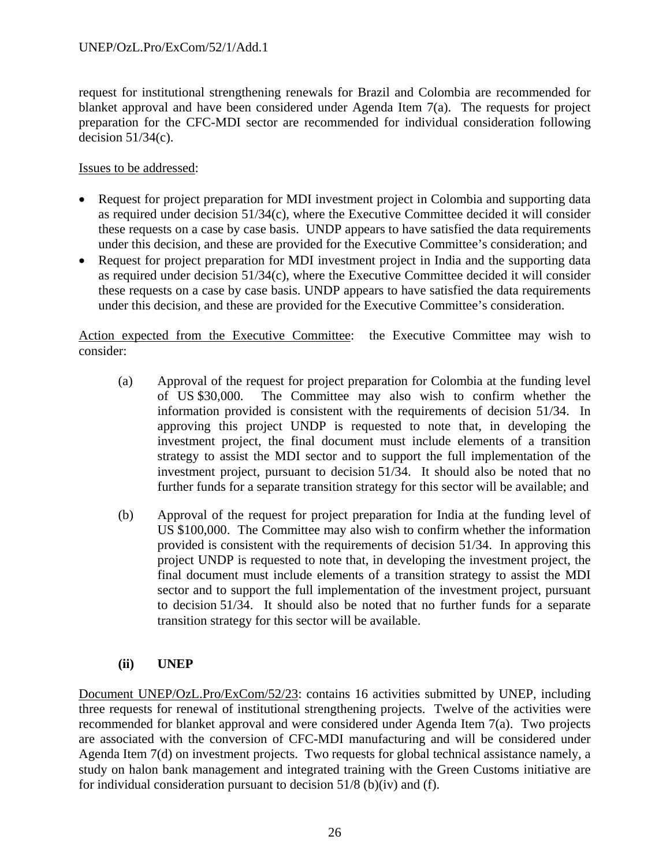request for institutional strengthening renewals for Brazil and Colombia are recommended for blanket approval and have been considered under Agenda Item 7(a). The requests for project preparation for the CFC-MDI sector are recommended for individual consideration following decision  $51/34(c)$ .

Issues to be addressed:

- Request for project preparation for MDI investment project in Colombia and supporting data as required under decision 51/34(c), where the Executive Committee decided it will consider these requests on a case by case basis. UNDP appears to have satisfied the data requirements under this decision, and these are provided for the Executive Committee's consideration; and
- Request for project preparation for MDI investment project in India and the supporting data as required under decision 51/34(c), where the Executive Committee decided it will consider these requests on a case by case basis. UNDP appears to have satisfied the data requirements under this decision, and these are provided for the Executive Committee's consideration.

Action expected from the Executive Committee: the Executive Committee may wish to consider:

- (a) Approval of the request for project preparation for Colombia at the funding level of US \$30,000. The Committee may also wish to confirm whether the information provided is consistent with the requirements of decision 51/34. In approving this project UNDP is requested to note that, in developing the investment project, the final document must include elements of a transition strategy to assist the MDI sector and to support the full implementation of the investment project, pursuant to decision 51/34. It should also be noted that no further funds for a separate transition strategy for this sector will be available; and
- (b) Approval of the request for project preparation for India at the funding level of US \$100,000. The Committee may also wish to confirm whether the information provided is consistent with the requirements of decision 51/34. In approving this project UNDP is requested to note that, in developing the investment project, the final document must include elements of a transition strategy to assist the MDI sector and to support the full implementation of the investment project, pursuant to decision 51/34. It should also be noted that no further funds for a separate transition strategy for this sector will be available.

### **(ii) UNEP**

Document UNEP/OzL.Pro/ExCom/52/23: contains 16 activities submitted by UNEP, including three requests for renewal of institutional strengthening projects. Twelve of the activities were recommended for blanket approval and were considered under Agenda Item 7(a). Two projects are associated with the conversion of CFC-MDI manufacturing and will be considered under Agenda Item 7(d) on investment projects. Two requests for global technical assistance namely, a study on halon bank management and integrated training with the Green Customs initiative are for individual consideration pursuant to decision 51/8 (b)(iv) and (f).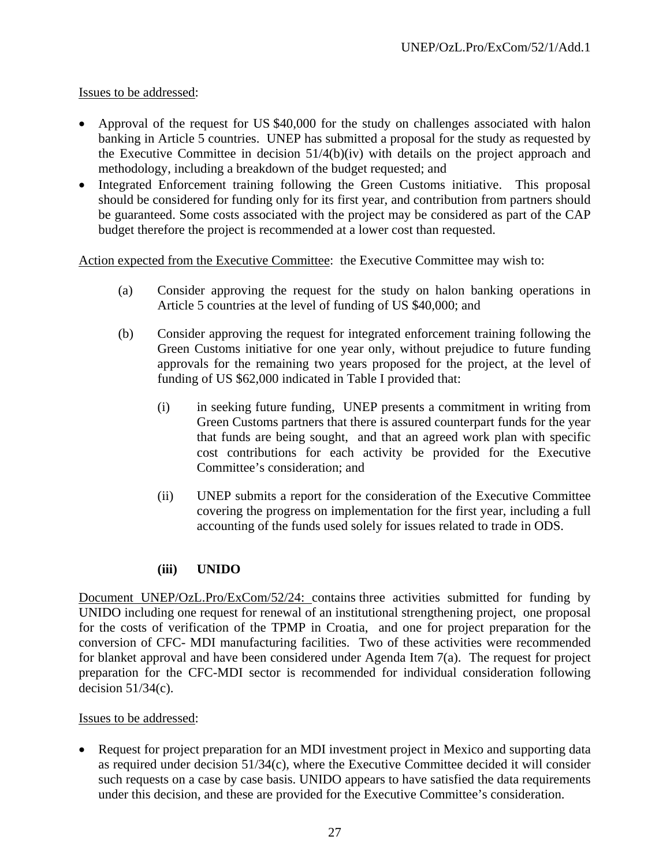### Issues to be addressed:

- Approval of the request for US \$40,000 for the study on challenges associated with halon banking in Article 5 countries. UNEP has submitted a proposal for the study as requested by the Executive Committee in decision 51/4(b)(iv) with details on the project approach and methodology, including a breakdown of the budget requested; and
- Integrated Enforcement training following the Green Customs initiative. This proposal should be considered for funding only for its first year, and contribution from partners should be guaranteed. Some costs associated with the project may be considered as part of the CAP budget therefore the project is recommended at a lower cost than requested.

Action expected from the Executive Committee: the Executive Committee may wish to:

- (a) Consider approving the request for the study on halon banking operations in Article 5 countries at the level of funding of US \$40,000; and
- (b) Consider approving the request for integrated enforcement training following the Green Customs initiative for one year only, without prejudice to future funding approvals for the remaining two years proposed for the project, at the level of funding of US \$62,000 indicated in Table I provided that:
	- (i) in seeking future funding, UNEP presents a commitment in writing from Green Customs partners that there is assured counterpart funds for the year that funds are being sought, and that an agreed work plan with specific cost contributions for each activity be provided for the Executive Committee's consideration; and
	- (ii) UNEP submits a report for the consideration of the Executive Committee covering the progress on implementation for the first year, including a full accounting of the funds used solely for issues related to trade in ODS.

### **(iii) UNIDO**

Document UNEP/OzL.Pro/ExCom/52/24: contains three activities submitted for funding by UNIDO including one request for renewal of an institutional strengthening project, one proposal for the costs of verification of the TPMP in Croatia, and one for project preparation for the conversion of CFC- MDI manufacturing facilities. Two of these activities were recommended for blanket approval and have been considered under Agenda Item 7(a). The request for project preparation for the CFC-MDI sector is recommended for individual consideration following decision  $51/34(c)$ .

#### Issues to be addressed:

• Request for project preparation for an MDI investment project in Mexico and supporting data as required under decision 51/34(c), where the Executive Committee decided it will consider such requests on a case by case basis. UNIDO appears to have satisfied the data requirements under this decision, and these are provided for the Executive Committee's consideration.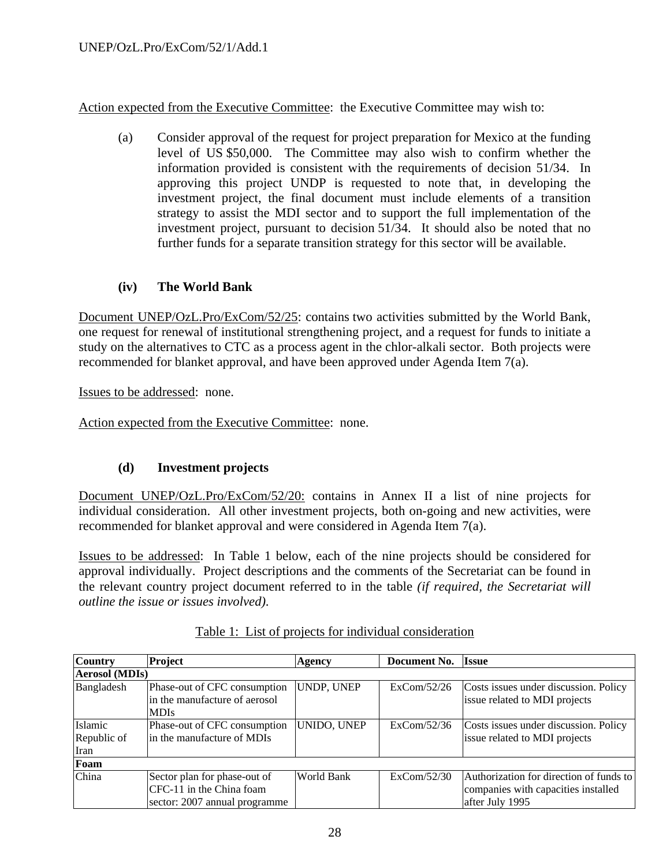Action expected from the Executive Committee: the Executive Committee may wish to:

(a) Consider approval of the request for project preparation for Mexico at the funding level of US \$50,000. The Committee may also wish to confirm whether the information provided is consistent with the requirements of decision 51/34. In approving this project UNDP is requested to note that, in developing the investment project, the final document must include elements of a transition strategy to assist the MDI sector and to support the full implementation of the investment project, pursuant to decision 51/34. It should also be noted that no further funds for a separate transition strategy for this sector will be available.

### **(iv) The World Bank**

Document UNEP/OzL.Pro/ExCom/52/25: contains two activities submitted by the World Bank, one request for renewal of institutional strengthening project, and a request for funds to initiate a study on the alternatives to CTC as a process agent in the chlor-alkali sector. Both projects were recommended for blanket approval, and have been approved under Agenda Item 7(a).

Issues to be addressed: none.

Action expected from the Executive Committee: none.

### **(d) Investment projects**

Document UNEP/OzL.Pro/ExCom/52/20: contains in Annex II a list of nine projects for individual consideration. All other investment projects, both on-going and new activities, were recommended for blanket approval and were considered in Agenda Item 7(a).

Issues to be addressed: In Table 1 below, each of the nine projects should be considered for approval individually. Project descriptions and the comments of the Secretariat can be found in the relevant country project document referred to in the table *(if required, the Secretariat will outline the issue or issues involved)*.

| <b>Country</b>                 | <b>Project</b>                                                                            | Agency            | Document No. | <b>Issue</b>                                                                                      |
|--------------------------------|-------------------------------------------------------------------------------------------|-------------------|--------------|---------------------------------------------------------------------------------------------------|
| <b>Aerosol</b> (MDIs)          |                                                                                           |                   |              |                                                                                                   |
| Bangladesh                     | Phase-out of CFC consumption<br>in the manufacture of aerosol<br><b>MDIs</b>              | <b>UNDP, UNEP</b> | ExCom/52/26  | Costs issues under discussion. Policy<br>issue related to MDI projects                            |
| Islamic<br>Republic of<br>Iran | Phase-out of CFC consumption<br>lin the manufacture of MDIs                               | UNIDO, UNEP       | ExCom/52/36  | Costs issues under discussion. Policy<br>issue related to MDI projects                            |
| Foam                           |                                                                                           |                   |              |                                                                                                   |
| China                          | Sector plan for phase-out of<br>CFC-11 in the China foam<br>sector: 2007 annual programme | World Bank        | ExCom/52/30  | Authorization for direction of funds to<br>companies with capacities installed<br>after July 1995 |

#### Table 1: List of projects for individual consideration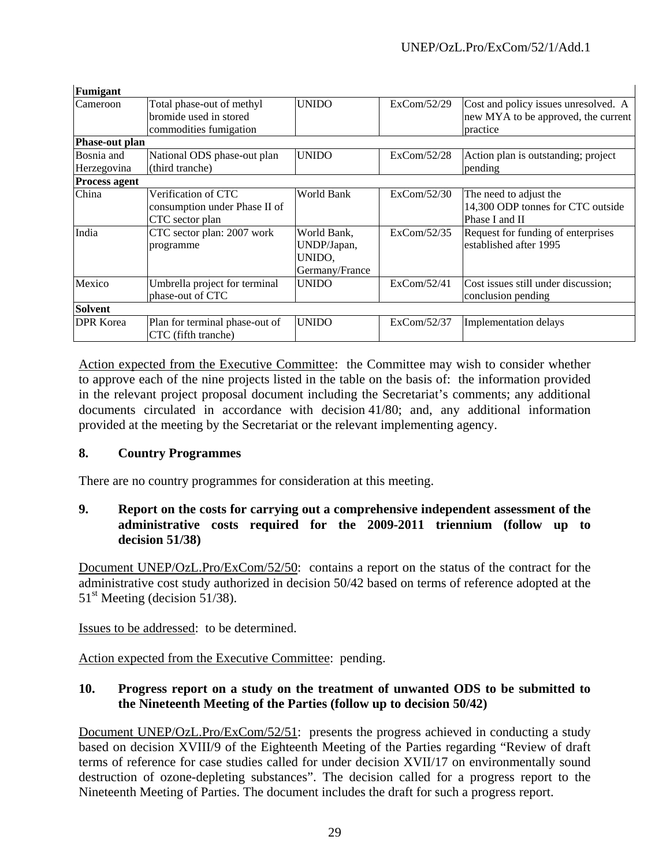| Fumigant                  |                                                                               |                                                        |             |                                                                                         |
|---------------------------|-------------------------------------------------------------------------------|--------------------------------------------------------|-------------|-----------------------------------------------------------------------------------------|
| Cameroon                  | Total phase-out of methyl<br>bromide used in stored<br>commodities fumigation | <b>UNIDO</b>                                           | ExCom/52/29 | Cost and policy issues unresolved. A<br>new MYA to be approved, the current<br>practice |
| <b>Phase-out plan</b>     |                                                                               |                                                        |             |                                                                                         |
| Bosnia and<br>Herzegovina | National ODS phase-out plan<br>(third tranche)                                | <b>UNIDO</b>                                           | ExCom/52/28 | Action plan is outstanding; project<br>pending                                          |
| <b>Process agent</b>      |                                                                               |                                                        |             |                                                                                         |
| China                     | Verification of CTC<br>consumption under Phase II of<br>CTC sector plan       | World Bank                                             | ExCom/52/30 | The need to adjust the<br>14,300 ODP tonnes for CTC outside<br>Phase I and II           |
| India                     | CTC sector plan: 2007 work<br>programme                                       | World Bank,<br>UNDP/Japan,<br>UNIDO,<br>Germany/France | ExCom/52/35 | Request for funding of enterprises<br>established after 1995                            |
| Mexico                    | Umbrella project for terminal<br>phase-out of CTC                             | <b>UNIDO</b>                                           | ExCom/52/41 | Cost issues still under discussion;<br>conclusion pending                               |
| Solvent                   |                                                                               |                                                        |             |                                                                                         |
| <b>DPR</b> Korea          | Plan for terminal phase-out of<br>CTC (fifth tranche)                         | <b>UNIDO</b>                                           | ExCom/52/37 | Implementation delays                                                                   |

Action expected from the Executive Committee: the Committee may wish to consider whether to approve each of the nine projects listed in the table on the basis of: the information provided in the relevant project proposal document including the Secretariat's comments; any additional documents circulated in accordance with decision 41/80; and, any additional information provided at the meeting by the Secretariat or the relevant implementing agency.

### **8. Country Programmes**

There are no country programmes for consideration at this meeting.

### **9. Report on the costs for carrying out a comprehensive independent assessment of the administrative costs required for the 2009-2011 triennium (follow up to decision 51/38)**

Document UNEP/OzL.Pro/ExCom/52/50: contains a report on the status of the contract for the administrative cost study authorized in decision 50/42 based on terms of reference adopted at the  $51<sup>st</sup>$  Meeting (decision 51/38).

Issues to be addressed: to be determined.

Action expected from the Executive Committee: pending.

### **10. Progress report on a study on the treatment of unwanted ODS to be submitted to the Nineteenth Meeting of the Parties (follow up to decision 50/42)**

Document UNEP/OzL.Pro/ExCom/52/51: presents the progress achieved in conducting a study based on decision XVIII/9 of the Eighteenth Meeting of the Parties regarding "Review of draft terms of reference for case studies called for under decision XVII/17 on environmentally sound destruction of ozone-depleting substances". The decision called for a progress report to the Nineteenth Meeting of Parties. The document includes the draft for such a progress report.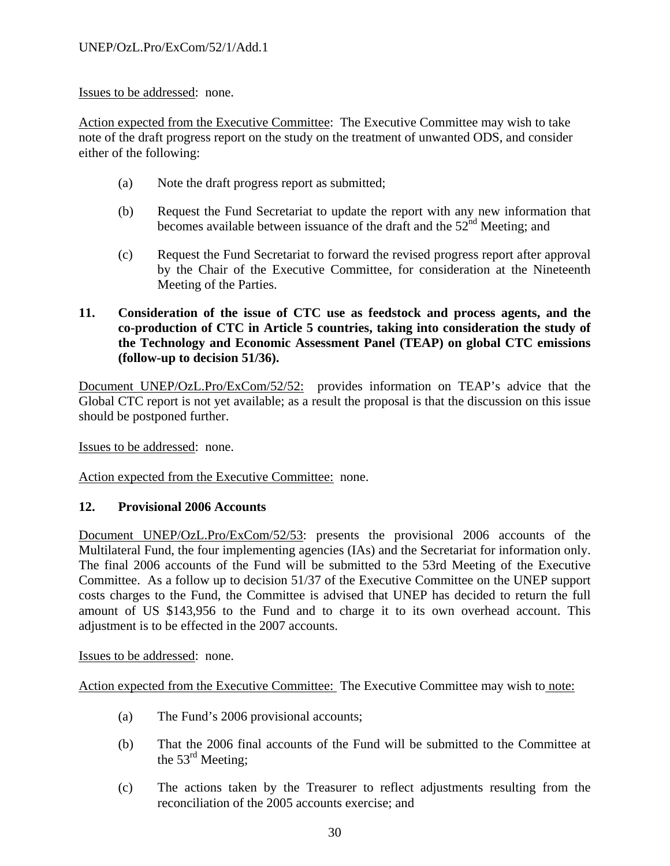#### Issues to be addressed: none.

Action expected from the Executive Committee: The Executive Committee may wish to take note of the draft progress report on the study on the treatment of unwanted ODS, and consider either of the following:

- (a) Note the draft progress report as submitted;
- (b) Request the Fund Secretariat to update the report with any new information that becomes available between issuance of the draft and the  $52<sup>nd</sup>$  Meeting; and
- (c) Request the Fund Secretariat to forward the revised progress report after approval by the Chair of the Executive Committee, for consideration at the Nineteenth Meeting of the Parties.
- **11. Consideration of the issue of CTC use as feedstock and process agents, and the co-production of CTC in Article 5 countries, taking into consideration the study of the Technology and Economic Assessment Panel (TEAP) on global CTC emissions (follow-up to decision 51/36).**

Document UNEP/OzL.Pro/ExCom/52/52: provides information on TEAP's advice that the Global CTC report is not yet available; as a result the proposal is that the discussion on this issue should be postponed further.

Issues to be addressed: none.

Action expected from the Executive Committee: none.

#### **12. Provisional 2006 Accounts**

Document UNEP/OzL.Pro/ExCom/52/53: presents the provisional 2006 accounts of the Multilateral Fund, the four implementing agencies (IAs) and the Secretariat for information only. The final 2006 accounts of the Fund will be submitted to the 53rd Meeting of the Executive Committee. As a follow up to decision 51/37 of the Executive Committee on the UNEP support costs charges to the Fund, the Committee is advised that UNEP has decided to return the full amount of US \$143,956 to the Fund and to charge it to its own overhead account. This adjustment is to be effected in the 2007 accounts.

#### Issues to be addressed: none.

Action expected from the Executive Committee: The Executive Committee may wish to note:

- (a) The Fund's 2006 provisional accounts;
- (b) That the 2006 final accounts of the Fund will be submitted to the Committee at the  $53<sup>rd</sup>$  Meeting;
- (c) The actions taken by the Treasurer to reflect adjustments resulting from the reconciliation of the 2005 accounts exercise; and